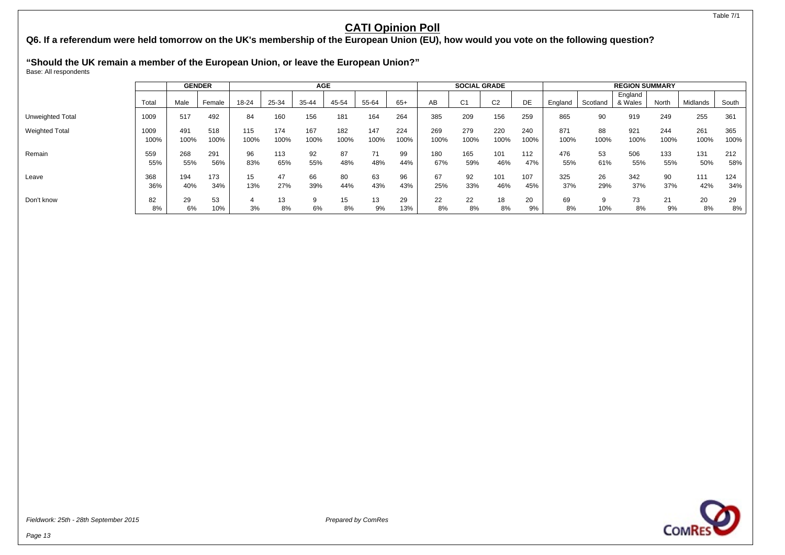**Q6. If a referendum were held tomorrow on the UK's membership of the European Union (EU), how would you vote on the following question?**

**"Should the UK remain a member of the European Union, or leave the European Union?"**

Base: All respondents

|                       |              | <b>GENDER</b> |             |             |             | <b>AGE</b>  |             |             |             |             | <b>SOCIAL GRADE</b> |                |             |             |            | <b>REGION SUMMARY</b> |             |             |             |
|-----------------------|--------------|---------------|-------------|-------------|-------------|-------------|-------------|-------------|-------------|-------------|---------------------|----------------|-------------|-------------|------------|-----------------------|-------------|-------------|-------------|
|                       | Total        | Male          | Female      | 18-24       | 25-34       | 35-44       | 45-54       | 55-64       | $65+$       | AB          | C1                  | C <sub>2</sub> | DE          | England     | Scotland   | England<br>& Wales    | North       | Midlands    | South       |
| Unweighted Total      | 1009         | 517           | 492         | 84          | 160         | 156         | 181         | 164         | 264         | 385         | 209                 | 156            | 259         | 865         | 90         | 919                   | 249         | 255         | 361         |
| <b>Weighted Total</b> | 1009<br>100% | 491<br>100%   | 518<br>100% | 115<br>100% | 174<br>100% | 167<br>100% | 182<br>100% | 147<br>100% | 224<br>100% | 269<br>100% | 279<br>100%         | 220<br>100%    | 240<br>100% | 871<br>100% | 88<br>100% | 921<br>100%           | 244<br>100% | 261<br>100% | 365<br>100% |
| Remain                | 559<br>55%   | 268<br>55%    | 291<br>56%  | 96<br>83%   | 113<br>65%  | 92<br>55%   | 87<br>48%   | 71<br>48%   | 99<br>44%   | 180<br>67%  | 165<br>59%          | 101<br>46%     | 112<br>47%  | 476<br>55%  | 53<br>61%  | 506<br>55%            | 133<br>55%  | 131<br>50%  | 212<br>58%  |
| Leave                 | 368<br>36%   | 194<br>40%    | 173<br>34%  | 15<br>13%   | 47<br>27%   | 66<br>39%   | 80<br>44%   | 63<br>43%   | 96<br>43%   | 67<br>25%   | 92<br>33%           | 101<br>46%     | 107<br>45%  | 325<br>37%  | 26<br>29%  | 342<br>37%            | 90<br>37%   | 111<br>42%  | 124<br>34%  |
| Don't know            | 82<br>8%     | 29<br>6%      | 53<br>10%   | 4<br>3%     | 13<br>8%    | 9<br>6%     | 15<br>8%    | 13<br>9%    | 29<br>13%   | 22<br>8%    | 22<br>8%            | 18<br>8%       | 20<br>9%    | 69<br>8%    | 10%        | 73<br>8%              | 21<br>9%    | 20<br>8%    | 29<br>8%    |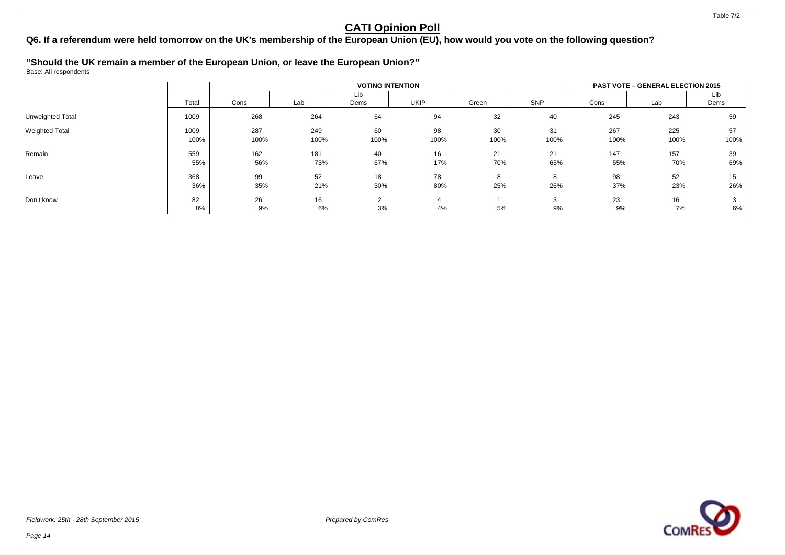**Q6. If a referendum were held tomorrow on the UK's membership of the European Union (EU), how would you vote on the following question?**

**"Should the UK remain a member of the European Union, or leave the European Union?"**

Base: All respondents

|                       |              |             |             | <b>VOTING INTENTION</b> |            |            |                   |             | <b>PAST VOTE - GENERAL ELECTION 2015</b> |             |
|-----------------------|--------------|-------------|-------------|-------------------------|------------|------------|-------------------|-------------|------------------------------------------|-------------|
|                       | Total        | Cons        | Lab         | Lib<br>Dems             | UKIP       | Green      | SNP               | Cons        | Lab                                      | Lib<br>Dems |
| Unweighted Total      | 1009         | 268         | 264         | 64                      | 94         | 32         | 40                | 245         | 243                                      | 59          |
| <b>Weighted Total</b> | 1009<br>100% | 287<br>100% | 249<br>100% | 60<br>100%              | 98<br>100% | 30<br>100% | 31<br>100%        | 267<br>100% | 225<br>100%                              | 57<br>100%  |
| Remain                | 559<br>55%   | 162<br>56%  | 181<br>73%  | 40<br>67%               | 16<br>17%  | 21<br>70%  | 21<br>65%         | 147<br>55%  | 157<br>70%                               | 39<br>69%   |
| Leave                 | 368<br>36%   | 99<br>35%   | 52<br>21%   | 18<br>30%               | 78<br>80%  | 8<br>25%   | 8<br>26%          | 98<br>37%   | 52<br>23%                                | 15<br>26%   |
| Don't know            | 82<br>8%     | 26<br>9%    | 16<br>6%    | 3%                      | 4%         | 5%         | $\sim$<br>G<br>9% | 23<br>9%    | 16<br>7%                                 | 3<br>6%     |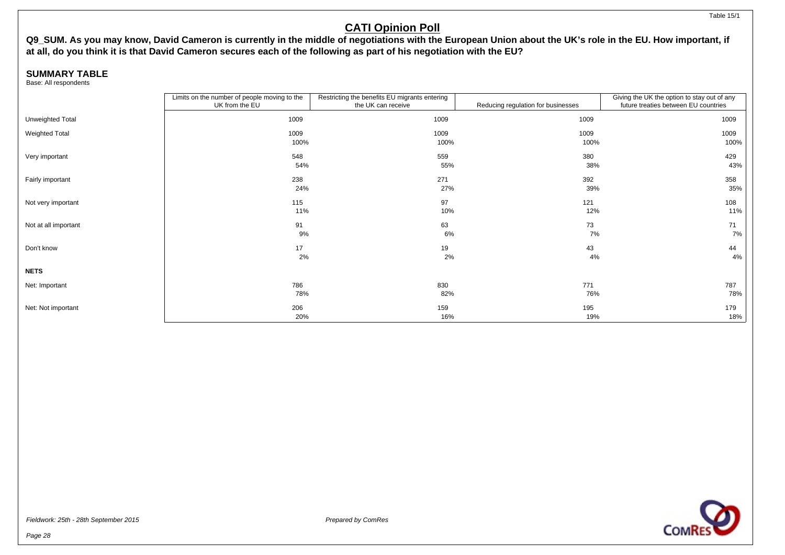**Q9\_SUM. As you may know, David Cameron is currently in the middle of negotiations with the European Union about the UK's role in the EU. How important, if at all, do you think it is that David Cameron secures each of the following as part of his negotiation with the EU?**

### **SUMMARY TABLE**

Base: All respondents

|                       | Limits on the number of people moving to the | Restricting the benefits EU migrants entering |                                    | Giving the UK the option to stay out of any |
|-----------------------|----------------------------------------------|-----------------------------------------------|------------------------------------|---------------------------------------------|
|                       | UK from the EU                               | the UK can receive                            | Reducing regulation for businesses | future treaties between EU countries        |
| Unweighted Total      | 1009                                         | 1009                                          | 1009                               | 1009                                        |
| <b>Weighted Total</b> | 1009                                         | 1009                                          | 1009                               | 1009                                        |
|                       | 100%                                         | 100%                                          | 100%                               | 100%                                        |
| Very important        | 548                                          | 559                                           | 380                                | 429                                         |
|                       | 54%                                          | 55%                                           | 38%                                | 43%                                         |
| Fairly important      | 238                                          | 271                                           | 392                                | 358                                         |
|                       | 24%                                          | 27%                                           | 39%                                | 35%                                         |
| Not very important    | 115                                          | 97                                            | 121                                | 108                                         |
|                       | 11%                                          | 10%                                           | 12%                                | 11%                                         |
| Not at all important  | 91                                           | 63                                            | 73                                 | 71                                          |
|                       | 9%                                           | 6%                                            | 7%                                 | 7%                                          |
| Don't know            | 17                                           | 19                                            | 43                                 | 44                                          |
|                       | 2%                                           | 2%                                            | 4%                                 | 4%                                          |
| <b>NETS</b>           |                                              |                                               |                                    |                                             |
| Net: Important        | 786                                          | 830                                           | 771                                | 787                                         |
|                       | 78%                                          | 82%                                           | 76%                                | 78%                                         |
| Net: Not important    | 206                                          | 159                                           | 195                                | 179                                         |
|                       | 20%                                          | 16%                                           | 19%                                | 18%                                         |



Page 28

Table 15/1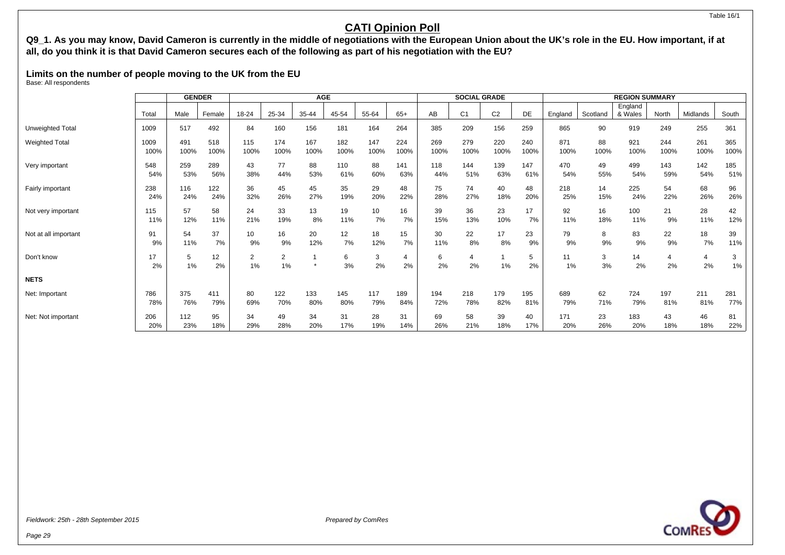#### Table 16/1

## **CATI Opinion Poll**

**Q9\_1. As you may know, David Cameron is currently in the middle of negotiations with the European Union about the UK's role in the EU. How important, if at all, do you think it is that David Cameron secures each of the following as part of his negotiation with the EU?**

**Limits on the number of people moving to the UK from the EU** Base: All respondents

|                       |          | <b>GENDER</b> |          |                      |                      | <b>AGE</b> |         |         |         |         | <b>SOCIAL GRADE</b>  |                |         |          |          | <b>REGION SUMMARY</b> |                      |          |            |
|-----------------------|----------|---------------|----------|----------------------|----------------------|------------|---------|---------|---------|---------|----------------------|----------------|---------|----------|----------|-----------------------|----------------------|----------|------------|
|                       |          |               |          |                      |                      |            |         |         |         |         |                      |                |         |          |          | England               |                      |          |            |
|                       | Total    | Male          | Female   | 18-24                | 25-34                | 35-44      | 45-54   | 55-64   | $65+$   | AB      | C <sub>1</sub>       | C <sub>2</sub> | DE      | England  | Scotland | & Wales               | North                | Midlands | South      |
| Unweighted Total      | 1009     | 517           | 492      | 84                   | 160                  | 156        | 181     | 164     | 264     | 385     | 209                  | 156            | 259     | 865      | 90       | 919                   | 249                  | 255      | 361        |
| <b>Weighted Total</b> | 1009     | 491           | 518      | 115                  | 174                  | 167        | 182     | 147     | 224     | 269     | 279                  | 220            | 240     | 871      | 88       | 921                   | 244                  | 261      | 365        |
|                       | 100%     | 100%          | 100%     | 100%                 | 100%                 | 100%       | 100%    | 100%    | 100%    | 100%    | 100%                 | 100%           | 100%    | 100%     | 100%     | 100%                  | 100%                 | 100%     | 100%       |
| Very important        | 548      | 259           | 289      | 43                   | 77                   | 88         | 110     | 88      | 141     | 118     | 144                  | 139            | 147     | 470      | 49       | 499                   | 143                  | 142      | 185        |
|                       | 54%      | 53%           | 56%      | 38%                  | 44%                  | 53%        | 61%     | 60%     | 63%     | 44%     | 51%                  | 63%            | 61%     | 54%      | 55%      | 54%                   | 59%                  | 54%      | 51%        |
| Fairly important      | 238      | 116           | 122      | 36                   | 45                   | 45         | 35      | 29      | 48      | 75      | 74                   | 40             | 48      | 218      | 14       | 225                   | 54                   | 68       | 96         |
|                       | 24%      | 24%           | 24%      | 32%                  | 26%                  | 27%        | 19%     | 20%     | 22%     | 28%     | 27%                  | 18%            | 20%     | 25%      | 15%      | 24%                   | 22%                  | 26%      | 26%        |
| Not very important    | 115      | 57            | 58       | 24                   | 33                   | 13         | 19      | 10      | 16      | 39      | 36                   | 23             | 17      | 92       | 16       | 100                   | 21                   | 28       | 42         |
|                       | 11%      | 12%           | 11%      | 21%                  | 19%                  | 8%         | 11%     | 7%      | 7%      | 15%     | 13%                  | 10%            | 7%      | 11%      | 18%      | 11%                   | 9%                   | 11%      | 12%        |
| Not at all important  | 91       | 54            | 37       | 10                   | 16                   | 20         | 12      | 18      | 15      | 30      | 22                   | 17             | 23      | 79       | 8        | 83                    | 22                   | 18       | 39         |
|                       | 9%       | 11%           | 7%       | 9%                   | 9%                   | 12%        | 7%      | 12%     | 7%      | 11%     | 8%                   | 8%             | 9%      | 9%       | 9%       | 9%                    | 9%                   | 7%       | 11%        |
| Don't know            | 17<br>2% | 5<br>1%       | 12<br>2% | $\overline{2}$<br>1% | $\overline{2}$<br>1% |            | 6<br>3% | 3<br>2% | 4<br>2% | 6<br>2% | $\overline{4}$<br>2% | 1%             | 5<br>2% | 11<br>1% | 3<br>3%  | 14<br>2%              | $\overline{4}$<br>2% | 4<br>2%  | 3<br>$1\%$ |
| <b>NETS</b>           |          |               |          |                      |                      |            |         |         |         |         |                      |                |         |          |          |                       |                      |          |            |
| Net: Important        | 786      | 375           | 411      | 80                   | 122                  | 133        | 145     | 117     | 189     | 194     | 218                  | 179            | 195     | 689      | 62       | 724                   | 197                  | 211      | 281        |
|                       | 78%      | 76%           | 79%      | 69%                  | 70%                  | 80%        | 80%     | 79%     | 84%     | 72%     | 78%                  | 82%            | 81%     | 79%      | 71%      | 79%                   | 81%                  | 81%      | 77%        |
| Net: Not important    | 206      | 112           | 95       | 34                   | 49                   | 34         | 31      | 28      | 31      | 69      | 58                   | 39             | 40      | 171      | 23       | 183                   | 43                   | 46       | 81         |
|                       | 20%      | 23%           | 18%      | 29%                  | 28%                  | 20%        | 17%     | 19%     | 14%     | 26%     | 21%                  | 18%            | 17%     | 20%      | 26%      | 20%                   | 18%                  | 18%      | 22%        |

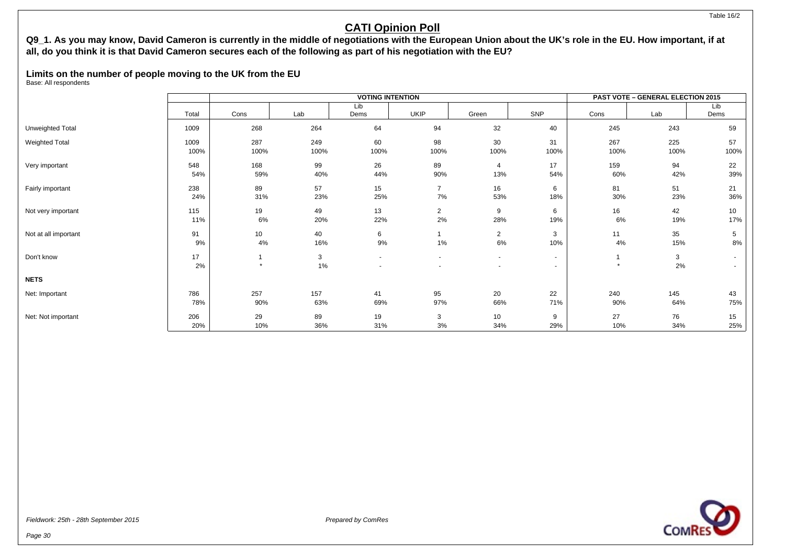#### Table 16/2

## **CATI Opinion Poll**

### **Q9\_1. As you may know, David Cameron is currently in the middle of negotiations with the European Union about the UK's role in the EU. How important, if at all, do you think it is that David Cameron secures each of the following as part of his negotiation with the EU?**

## **Limits on the number of people moving to the UK from the EU**

Base: All respondents

|                       |       |         |      | <b>VOTING INTENTION</b> |                |                |        |         | <b>PAST VOTE - GENERAL ELECTION 2015</b> |                 |
|-----------------------|-------|---------|------|-------------------------|----------------|----------------|--------|---------|------------------------------------------|-----------------|
|                       |       |         |      | Lib                     |                |                |        |         |                                          | Lib             |
|                       | Total | Cons    | Lab  | Dems                    | <b>UKIP</b>    | Green          | SNP    | Cons    | Lab                                      | Dems            |
| Unweighted Total      | 1009  | 268     | 264  | 64                      | 94             | 32             | 40     | 245     | 243                                      | 59              |
| <b>Weighted Total</b> | 1009  | 287     | 249  | 60                      | 98             | 30             | 31     | 267     | 225                                      | 57              |
|                       | 100%  | 100%    | 100% | 100%                    | 100%           | 100%           | 100%   | 100%    | 100%                                     | 100%            |
| Very important        | 548   | 168     | 99   | 26                      | 89             | 4              | 17     | 159     | 94                                       | 22              |
|                       | 54%   | 59%     | 40%  | 44%                     | 90%            | 13%            | 54%    | 60%     | 42%                                      | 39%             |
| Fairly important      | 238   | 89      | 57   | 15                      | 7              | 16             | 6      | 81      | 51                                       | 21              |
|                       | 24%   | 31%     | 23%  | 25%                     | $7\%$          | 53%            | 18%    | 30%     | 23%                                      | 36%             |
| Not very important    | 115   | 19      | 49   | 13                      | $\overline{2}$ | 9              | 6      | 16      | 42                                       | 10 <sup>1</sup> |
|                       | 11%   | 6%      | 20%  | 22%                     | 2%             | 28%            | 19%    | 6%      | 19%                                      | 17%             |
| Not at all important  | 91    | 10      | 40   | 6                       |                | $\overline{2}$ | 3      | 11      | 35                                       | 5               |
|                       | 9%    | 4%      | 16%  | 9%                      | $1\%$          | 6%             | 10%    | 4%      | 15%                                      | 8%              |
| Don't know            | 17    |         | 3    | $\sim$                  | $\blacksquare$ | $\sim$         | $\sim$ |         | 3                                        | $\sim$          |
|                       | 2%    | $\star$ | 1%   |                         |                | $\blacksquare$ | ٠      | $\star$ | 2%                                       | $\sim$          |
| <b>NETS</b>           |       |         |      |                         |                |                |        |         |                                          |                 |
| Net: Important        | 786   | 257     | 157  | 41                      | 95             | 20             | 22     | 240     | 145                                      | 43              |
|                       | 78%   | 90%     | 63%  | 69%                     | 97%            | 66%            | 71%    | 90%     | 64%                                      | 75%             |
| Net: Not important    | 206   | 29      | 89   | 19                      | 3              | 10             | 9      | 27      | 76                                       | 15              |
|                       | 20%   | 10%     | 36%  | 31%                     | 3%             | 34%            | 29%    | 10%     | 34%                                      | 25%             |

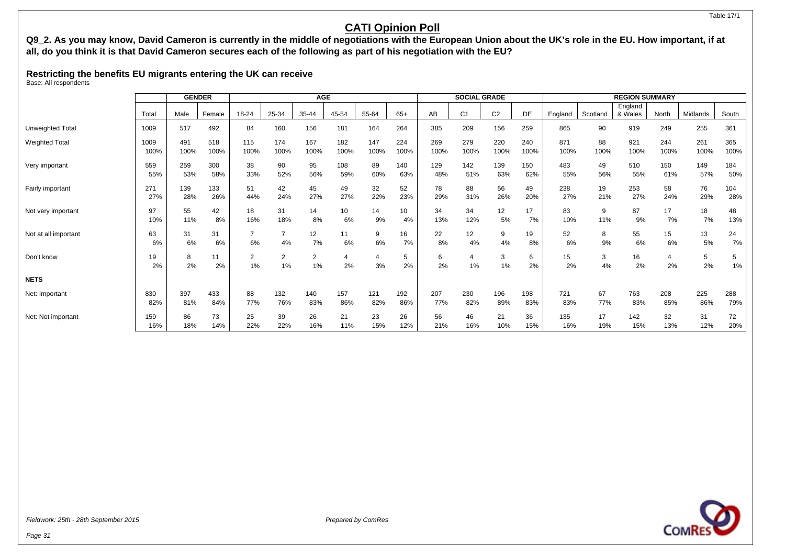#### Table 17/1

## **CATI Opinion Poll**

**Q9\_2. As you may know, David Cameron is currently in the middle of negotiations with the European Union about the UK's role in the EU. How important, if at all, do you think it is that David Cameron secures each of the following as part of his negotiation with the EU?**

**Restricting the benefits EU migrants entering the UK can receive**

Base: All respondents

|                       |          | <b>GENDER</b> |          |                      |         | <b>AGE</b>           |          |         |          |          | <b>SOCIAL GRADE</b> |                |          |          |          | <b>REGION SUMMARY</b> |                      |          |          |
|-----------------------|----------|---------------|----------|----------------------|---------|----------------------|----------|---------|----------|----------|---------------------|----------------|----------|----------|----------|-----------------------|----------------------|----------|----------|
|                       | Total    | Male          | Female   | 18-24                | 25-34   | 35-44                | 45-54    | 55-64   | $65+$    | AB       | C <sub>1</sub>      | C <sub>2</sub> | DE       | England  | Scotland | England<br>& Wales    | North                | Midlands | South    |
| Unweighted Total      | 1009     | 517           | 492      | 84                   | 160     | 156                  | 181      | 164     | 264      | 385      | 209                 | 156            | 259      | 865      | 90       | 919                   | 249                  | 255      | 361      |
| <b>Weighted Total</b> | 1009     | 491           | 518      | 115                  | 174     | 167                  | 182      | 147     | 224      | 269      | 279                 | 220            | 240      | 871      | 88       | 921                   | 244                  | 261      | 365      |
|                       | 100%     | 100%          | 100%     | 100%                 | 100%    | 100%                 | 100%     | 100%    | 100%     | 100%     | 100%                | 100%           | 100%     | 100%     | 100%     | 100%                  | 100%                 | 100%     | 100%     |
| Very important        | 559      | 259           | 300      | 38                   | 90      | 95                   | 108      | 89      | 140      | 129      | 142                 | 139            | 150      | 483      | 49       | 510                   | 150                  | 149      | 184      |
|                       | 55%      | 53%           | 58%      | 33%                  | 52%     | 56%                  | 59%      | 60%     | 63%      | 48%      | 51%                 | 63%            | 62%      | 55%      | 56%      | 55%                   | 61%                  | 57%      | 50%      |
| Fairly important      | 271      | 139           | 133      | 51                   | 42      | 45                   | 49       | 32      | 52       | 78       | 88                  | 56             | 49       | 238      | 19       | 253                   | 58                   | 76       | 104      |
|                       | 27%      | 28%           | 26%      | 44%                  | 24%     | 27%                  | 27%      | 22%     | 23%      | 29%      | 31%                 | 26%            | 20%      | 27%      | 21%      | 27%                   | 24%                  | 29%      | 28%      |
| Not very important    | 97       | 55            | 42       | 18                   | 31      | 14                   | 10       | 14      | 10       | 34       | 34                  | 12             | 17       | 83       | 9        | 87                    | 17                   | 18       | 48       |
|                       | 10%      | 11%           | 8%       | 16%                  | 18%     | 8%                   | 6%       | 9%      | 4%       | 13%      | 12%                 | 5%             | 7%       | 10%      | 11%      | 9%                    | 7%                   | 7%       | 13%      |
| Not at all important  | 63<br>6% | 31<br>6%      | 31<br>6% | 6%                   | 4%      | 12<br>7%             | 11<br>6% | 9<br>6% | 16<br>7% | 22<br>8% | 12<br>4%            | 9<br>4%        | 19<br>8% | 52<br>6% | 8<br>9%  | 55<br>6%              | 15<br>6%             | 13<br>5% | 24<br>7% |
| Don't know            | 19<br>2% | 8<br>2%       | 2%       | $\overline{2}$<br>1% | 2<br>1% | $\overline{2}$<br>1% | 2%       | 4<br>3% | 5<br>2%  | 6<br>2%  | 4<br>1%             | 3<br>1%        | 6<br>2%  | 15<br>2% | 3<br>4%  | 16<br>2%              | $\overline{4}$<br>2% | 5<br>2%  | 5<br>1%  |
| <b>NETS</b>           |          |               |          |                      |         |                      |          |         |          |          |                     |                |          |          |          |                       |                      |          |          |
| Net: Important        | 830      | 397           | 433      | 88                   | 132     | 140                  | 157      | 121     | 192      | 207      | 230                 | 196            | 198      | 721      | 67       | 763                   | 208                  | 225      | 288      |
|                       | 82%      | 81%           | 84%      | 77%                  | 76%     | 83%                  | 86%      | 82%     | 86%      | 77%      | 82%                 | 89%            | 83%      | 83%      | 77%      | 83%                   | 85%                  | 86%      | 79%      |
| Net: Not important    | 159      | 86            | 73       | 25                   | 39      | 26                   | 21       | 23      | 26       | 56       | 46                  | 21             | 36       | 135      | 17       | 142                   | 32                   | 31       | 72       |
|                       | 16%      | 18%           | 14%      | 22%                  | 22%     | 16%                  | 11%      | 15%     | 12%      | 21%      | 16%                 | 10%            | 15%      | 16%      | 19%      | 15%                   | 13%                  | 12%      | 20%      |

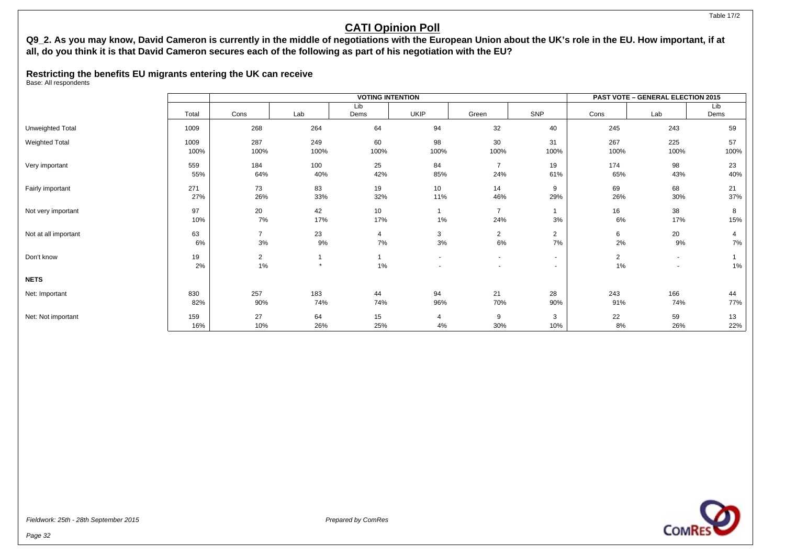#### Table 17/2

## **CATI Opinion Poll**

### **Q9\_2. As you may know, David Cameron is currently in the middle of negotiations with the European Union about the UK's role in the EU. How important, if at all, do you think it is that David Cameron secures each of the following as part of his negotiation with the EU?**

### **Restricting the benefits EU migrants entering the UK can receive**

Base: All respondents

|                       |              |                      |             | <b>VOTING INTENTION</b> |                |                       |                                                      |                      | <b>PAST VOTE - GENERAL ELECTION 2015</b> |            |
|-----------------------|--------------|----------------------|-------------|-------------------------|----------------|-----------------------|------------------------------------------------------|----------------------|------------------------------------------|------------|
|                       |              |                      |             | Lib                     |                |                       |                                                      |                      |                                          | Lib        |
|                       | Total        | Cons                 | Lab         | Dems                    | UKIP           | Green                 | SNP                                                  | Cons                 | Lab                                      | Dems       |
| Unweighted Total      | 1009         | 268                  | 264         | 64                      | 94             | 32                    | 40                                                   | 245                  | 243                                      | 59         |
| <b>Weighted Total</b> | 1009<br>100% | 287<br>100%          | 249<br>100% | 60<br>100%              | 98<br>100%     | 30<br>100%            | 31<br>100%                                           | 267<br>100%          | 225<br>100%                              | 57<br>100% |
| Very important        | 559<br>55%   | 184<br>64%           | 100<br>40%  | 25<br>42%               | 84<br>85%      | $\overline{7}$<br>24% | 19<br>61%                                            | 174<br>65%           | 98<br>43%                                | 23<br>40%  |
| Fairly important      | 271<br>27%   | 73<br>26%            | 83<br>33%   | 19<br>32%               | 10<br>11%      | 14<br>46%             | 9<br>29%                                             | 69<br>26%            | 68<br>30%                                | 21<br>37%  |
| Not very important    | 97<br>10%    | 20<br>7%             | 42<br>17%   | 10<br>17%               | $1\%$          | $\overline{7}$<br>24% | 3%                                                   | 16<br>6%             | 38<br>17%                                | 8<br>15%   |
| Not at all important  | 63<br>6%     | $\overline{7}$<br>3% | 23<br>9%    | 4<br>7%                 | 3<br>$3\%$     | $\overline{2}$<br>6%  | $\overline{2}$<br>7%                                 | 6<br>2%              | 20<br>9%                                 | 4<br>7%    |
| Don't know            | 19<br>2%     | $\overline{2}$<br>1% | $\star$     | 1%                      | $\overline{a}$ | $\sim$                | $\overline{\phantom{0}}$<br>$\overline{\phantom{0}}$ | $\overline{2}$<br>1% | $\overline{\phantom{a}}$                 | $1\%$      |
| <b>NETS</b>           |              |                      |             |                         |                |                       |                                                      |                      |                                          |            |
| Net: Important        | 830<br>82%   | 257<br>90%           | 183<br>74%  | 44<br>74%               | 94<br>96%      | 21<br>70%             | 28<br>90%                                            | 243<br>91%           | 166<br>74%                               | 44<br>77%  |
| Net: Not important    | 159<br>16%   | 27<br>10%            | 64<br>26%   | 15<br>25%               | 4<br>4%        | 9<br>30%              | 3<br>10%                                             | 22<br>8%             | 59<br>26%                                | 13<br>22%  |

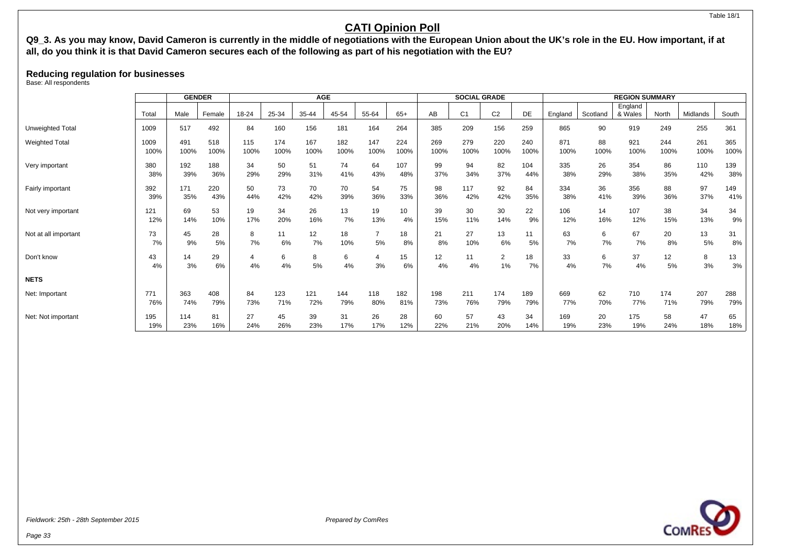#### Table 18/1

## **CATI Opinion Poll**

## **Q9\_3. As you may know, David Cameron is currently in the middle of negotiations with the European Union about the UK's role in the EU. How important, if at all, do you think it is that David Cameron secures each of the following as part of his negotiation with the EU?**

### **Reducing regulation for businesses**

Base: All respondents

|                       |          | <b>GENDER</b> |          |       |         | <b>AGE</b> |         |                      |          |          | <b>SOCIAL GRADE</b> |                         |          |          |          | <b>REGION SUMMARY</b> |          |          |          |
|-----------------------|----------|---------------|----------|-------|---------|------------|---------|----------------------|----------|----------|---------------------|-------------------------|----------|----------|----------|-----------------------|----------|----------|----------|
|                       | Tota     | Male          | Female   | 18-24 | 25-34   | 35-44      | 45-54   | 55-64                | $65+$    | AB       | C <sub>1</sub>      | C <sub>2</sub>          | DE       | England  | Scotland | England<br>& Wales    | North    | Midlands | South    |
| Unweighted Total      | 1009     | 517           | 492      | 84    | 160     | 156        | 181     | 164                  | 264      | 385      | 209                 | 156                     | 259      | 865      | 90       | 919                   | 249      | 255      | 361      |
| <b>Weighted Total</b> | 1009     | 491           | 518      | 115   | 174     | 167        | 182     | 147                  | 224      | 269      | 279                 | 220                     | 240      | 871      | 88       | 921                   | 244      | 261      | 365      |
|                       | 100%     | 100%          | 100%     | 100%  | 100%    | 100%       | 100%    | 100%                 | 100%     | 100%     | 100%                | 100%                    | 100%     | 100%     | 100%     | 100%                  | 100%     | 100%     | 100%     |
| Very important        | 380      | 192           | 188      | 34    | 50      | 51         | 74      | 64                   | 107      | 99       | 94                  | 82                      | 104      | 335      | 26       | 354                   | 86       | 110      | 139      |
|                       | 38%      | 39%           | 36%      | 29%   | 29%     | 31%        | 41%     | 43%                  | 48%      | 37%      | 34%                 | 37%                     | 44%      | 38%      | 29%      | 38%                   | 35%      | 42%      | 38%      |
| Fairly important      | 392      | 171           | 220      | 50    | 73      | 70         | 70      | 54                   | 75       | 98       | 117                 | 92                      | 84       | 334      | 36       | 356                   | 88       | 97       | 149      |
|                       | 39%      | 35%           | 43%      | 44%   | 42%     | 42%        | 39%     | 36%                  | 33%      | 36%      | 42%                 | 42%                     | 35%      | 38%      | 41%      | 39%                   | 36%      | 37%      | 41%      |
| Not very important    | 121      | 69            | 53       | 19    | 34      | 26         | 13      | 19                   | 10       | 39       | 30                  | 30                      | 22       | 106      | 14       | 107                   | 38       | 34       | 34       |
|                       | 12%      | 14%           | 10%      | 17%   | 20%     | 16%        | 7%      | 13%                  | 4%       | 15%      | 11%                 | 14%                     | 9%       | 12%      | 16%      | 12%                   | 15%      | 13%      | 9%       |
| Not at all important  | 73       | 45            | 28       | 8     | 11      | 12         | 18      | $\overline{7}$       | 18       | 21       | 27                  | 13                      | 11       | 63       | 6        | 67                    | 20       | 13       | 31       |
|                       | 7%       | 9%            | 5%       | 7%    | 6%      | 7%         | 10%     | 5%                   | 8%       | 8%       | 10%                 | 6%                      | 5%       | 7%       | 7%       | 7%                    | 8%       | 5%       | 8%       |
| Don't know            | 43<br>4% | 14<br>3%      | 29<br>6% | 4%    | 6<br>4% | 8<br>5%    | 6<br>4% | $\overline{4}$<br>3% | 15<br>6% | 12<br>4% | 11<br>4%            | $\overline{2}$<br>$1\%$ | 18<br>7% | 33<br>4% | 6<br>7%  | 37<br>4%              | 12<br>5% | 8<br>3%  | 13<br>3% |
| <b>NETS</b>           |          |               |          |       |         |            |         |                      |          |          |                     |                         |          |          |          |                       |          |          |          |
| Net: Important        | 771      | 363           | 408      | 84    | 123     | 121        | 144     | 118                  | 182      | 198      | 211                 | 174                     | 189      | 669      | 62       | 710                   | 174      | 207      | 288      |
|                       | 76%      | 74%           | 79%      | 73%   | 71%     | 72%        | 79%     | 80%                  | 81%      | 73%      | 76%                 | 79%                     | 79%      | 77%      | 70%      | 77%                   | 71%      | 79%      | 79%      |
| Net: Not important    | 195      | 114           | 81       | 27    | 45      | 39         | 31      | 26                   | 28       | 60       | 57                  | 43                      | 34       | 169      | 20       | 175                   | 58       | 47       | 65       |
|                       | 19%      | 23%           | 16%      | 24%   | 26%     | 23%        | 17%     | 17%                  | 12%      | 22%      | 21%                 | 20%                     | 14%      | 19%      | 23%      | 19%                   | 24%      | 18%      | 18%      |

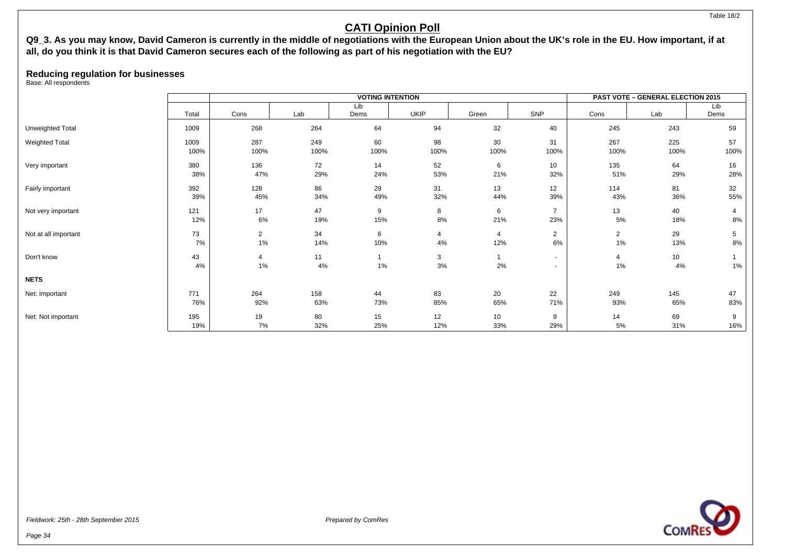#### Table 18/2

## **CATI Opinion Poll**

### **Q9\_3. As you may know, David Cameron is currently in the middle of negotiations with the European Union about the UK's role in the EU. How important, if at all, do you think it is that David Cameron secures each of the following as part of his negotiation with the EU?**

### **Reducing regulation for businesses**

Base: All respondents

|                       |       |                |      | <b>VOTING INTENTION</b> |             |                |                |                | <b>PAST VOTE - GENERAL ELECTION 2015</b> |      |
|-----------------------|-------|----------------|------|-------------------------|-------------|----------------|----------------|----------------|------------------------------------------|------|
|                       |       |                |      | Lib                     |             |                |                |                |                                          | Lib  |
|                       | Total | Cons           | Lab  | Dems                    | <b>UKIP</b> | Green          | SNP            | Cons           | Lab                                      | Dems |
| Unweighted Total      | 1009  | 268            | 264  | 64                      | 94          | 32             | 40             | 245            | 243                                      | 59   |
| <b>Weighted Total</b> | 1009  | 287            | 249  | 60                      | 98          | 30             | 31             | 267            | 225                                      | 57   |
|                       | 100%  | 100%           | 100% | 100%                    | 100%        | 100%           | 100%           | 100%           | 100%                                     | 100% |
| Very important        | 380   | 136            | 72   | 14                      | 52          | 6              | 10             | 135            | 64                                       | 16   |
|                       | 38%   | 47%            | 29%  | 24%                     | 53%         | 21%            | 32%            | 51%            | 29%                                      | 28%  |
| Fairly important      | 392   | 128            | 86   | 29                      | 31          | 13             | 12             | 114            | 81                                       | 32   |
|                       | 39%   | 45%            | 34%  | 49%                     | 32%         | 44%            | 39%            | 43%            | 36%                                      | 55%  |
| Not very important    | 121   | 17             | 47   | 9                       | 8           | 6              | $\overline{7}$ | 13             | 40                                       | 4    |
|                       | 12%   | 6%             | 19%  | 15%                     | 8%          | 21%            | 23%            | 5%             | 18%                                      | 8%   |
| Not at all important  | 73    | $\overline{2}$ | 34   | 6                       | 4           | $\overline{4}$ | $\overline{2}$ | $\overline{2}$ | 29                                       | 5    |
|                       | 7%    | 1%             | 14%  | 10%                     | 4%          | 12%            | 6%             | 1%             | 13%                                      | 8%   |
| Don't know            | 43    | 4              | 11   |                         | 3           | 1              | $\sim$         | 4              | 10                                       |      |
|                       | 4%    | 1%             | 4%   | 1%                      | $3\%$       | 2%             |                | 1%             | 4%                                       | 1%   |
| <b>NETS</b>           |       |                |      |                         |             |                |                |                |                                          |      |
| Net: Important        | 771   | 264            | 158  | 44                      | 83          | 20             | 22             | 249            | 145                                      | 47   |
|                       | 76%   | 92%            | 63%  | 73%                     | 85%         | 65%            | 71%            | 93%            | 65%                                      | 83%  |
| Net: Not important    | 195   | 19             | 80   | 15                      | 12          | 10             | 9              | 14             | 69                                       | 9    |
|                       | 19%   | 7%             | 32%  | 25%                     | 12%         | 33%            | 29%            | 5%             | 31%                                      | 16%  |

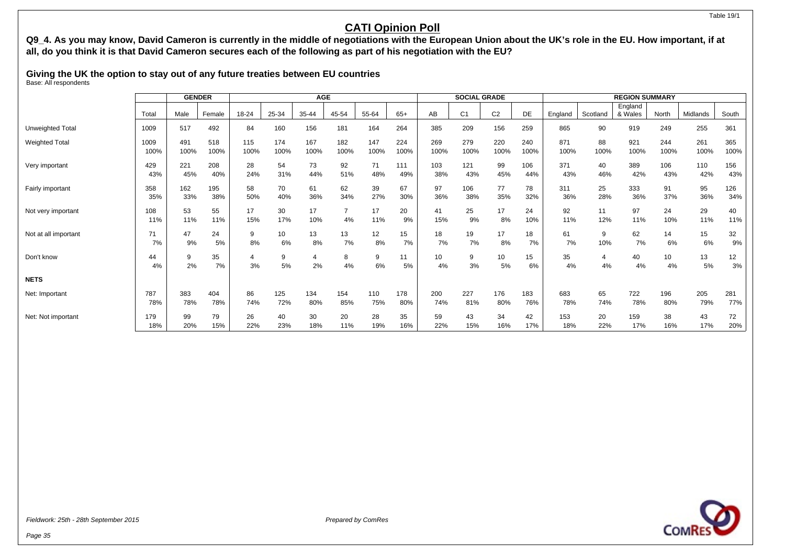#### Table 19/1

## **CATI Opinion Poll**

**Q9\_4. As you may know, David Cameron is currently in the middle of negotiations with the European Union about the UK's role in the EU. How important, if at all, do you think it is that David Cameron secures each of the following as part of his negotiation with the EU?**

**Giving the UK the option to stay out of any future treaties between EU countries** Base: All respondents

|                       |            | <b>GENDER</b> |           |           |           | <b>AGE</b>           |         |           |          |           | <b>SOCIAL GRADE</b> |                |           |           |           | <b>REGION SUMMARY</b> |           |           |           |
|-----------------------|------------|---------------|-----------|-----------|-----------|----------------------|---------|-----------|----------|-----------|---------------------|----------------|-----------|-----------|-----------|-----------------------|-----------|-----------|-----------|
|                       | Total      | Male          | Female    | 18-24     | 25-34     | 35-44                | 45-54   | 55-64     | $65+$    | AB        | C <sub>1</sub>      | C <sub>2</sub> | DE        | England   | Scotland  | England<br>& Wales    | North     | Midlands  | South     |
| Unweighted Total      | 1009       | 517           | 492       | 84        | 160       | 156                  | 181     | 164       | 264      | 385       | 209                 | 156            | 259       | 865       | 90        | 919                   | 249       | 255       | 361       |
| <b>Weighted Total</b> | 1009       | 491           | 518       | 115       | 174       | 167                  | 182     | 147       | 224      | 269       | 279                 | 220            | 240       | 871       | 88        | 921                   | 244       | 261       | 365       |
|                       | 100%       | 100%          | 100%      | 100%      | 100%      | 100%                 | 100%    | 100%      | 100%     | 100%      | 100%                | 100%           | 100%      | 100%      | 100%      | 100%                  | 100%      | 100%      | 100%      |
| Very important        | 429        | 221           | 208       | 28        | 54        | 73                   | 92      | 71        | 111      | 103       | 121                 | 99             | 106       | 371       | 40        | 389                   | 106       | 110       | 156       |
|                       | 43%        | 45%           | 40%       | 24%       | 31%       | 44%                  | 51%     | 48%       | 49%      | 38%       | 43%                 | 45%            | 44%       | 43%       | 46%       | 42%                   | 43%       | 42%       | 43%       |
| Fairly important      | 358        | 162           | 195       | 58        | 70        | 61                   | 62      | 39        | 67       | 97        | 106                 | 77             | 78        | 311       | 25        | 333                   | 91        | 95        | 126       |
|                       | 35%        | 33%           | 38%       | 50%       | 40%       | 36%                  | 34%     | 27%       | 30%      | 36%       | 38%                 | 35%            | 32%       | 36%       | 28%       | 36%                   | 37%       | 36%       | 34%       |
| Not very important    | 108<br>11% | 53<br>11%     | 55<br>11% | 17<br>15% | 30<br>17% | 17<br>10%            | 4%      | 17<br>11% | 20<br>9% | 41<br>15% | 25<br>9%            | 17<br>8%       | 24<br>10% | 92<br>11% | 11<br>12% | 97<br>11%             | 24<br>10% | 29<br>11% | 40<br>11% |
| Not at all important  | 71         | 47            | 24        | 9         | 10        | 13                   | 13      | 12        | 15       | 18        | 19                  | 17             | 18        | 61        | 9         | 62                    | 14        | 15        | 32        |
|                       | 7%         | 9%            | 5%        | 8%        | 6%        | 8%                   | 7%      | 8%        | 7%       | 7%        | 7%                  | 8%             | 7%        | 7%        | 10%       | 7%                    | 6%        | 6%        | 9%        |
| Don't know            | 44<br>4%   | 9<br>2%       | 35<br>7%  | 3%        | 9<br>5%   | $\overline{4}$<br>2% | 8<br>4% | 9<br>6%   | 11<br>5% | 10<br>4%  | 9<br>3%             | 10<br>5%       | 15<br>6%  | 35<br>4%  | 4<br>4%   | 40<br>4%              | 10<br>4%  | 13<br>5%  | 12<br>3%  |
| <b>NETS</b>           |            |               |           |           |           |                      |         |           |          |           |                     |                |           |           |           |                       |           |           |           |
| Net: Important        | 787        | 383           | 404       | 86        | 125       | 134                  | 154     | 110       | 178      | 200       | 227                 | 176            | 183       | 683       | 65        | 722                   | 196       | 205       | 281       |
|                       | 78%        | 78%           | 78%       | 74%       | 72%       | 80%                  | 85%     | 75%       | 80%      | 74%       | 81%                 | 80%            | 76%       | 78%       | 74%       | 78%                   | 80%       | 79%       | 77%       |
| Net: Not important    | 179        | 99            | 79        | 26        | 40        | 30                   | 20      | 28        | 35       | 59        | 43                  | 34             | 42        | 153       | 20        | 159                   | 38        | 43        | 72        |
|                       | 18%        | 20%           | 15%       | 22%       | 23%       | 18%                  | 11%     | 19%       | 16%      | 22%       | 15%                 | 16%            | 17%       | 18%       | 22%       | 17%                   | 16%       | 17%       | 20%       |

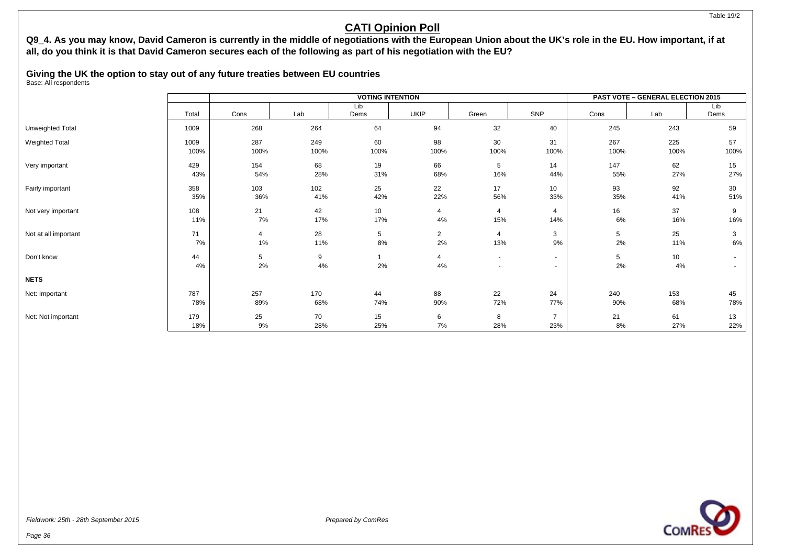#### Table 19/2

## **CATI Opinion Poll**

## **Q9\_4. As you may know, David Cameron is currently in the middle of negotiations with the European Union about the UK's role in the EU. How important, if at all, do you think it is that David Cameron secures each of the following as part of his negotiation with the EU?**

**Giving the UK the option to stay out of any future treaties between EU countries** Base: All respondents

|                      |          |         |         | <b>VOTING INTENTION</b> |                |                                                      |                  |         | <b>PAST VOTE - GENERAL ELECTION 2015</b> |                                    |
|----------------------|----------|---------|---------|-------------------------|----------------|------------------------------------------------------|------------------|---------|------------------------------------------|------------------------------------|
|                      | Total    | Cons    | Lab     | Lib<br>Dems             | <b>UKIP</b>    | Green                                                | SNP              | Cons    | Lab                                      | Lib<br>Dems                        |
| Unweighted Total     | 1009     | 268     | 264     | 64                      | 94             | 32                                                   | 40               | 245     | 243                                      | 59                                 |
| Weighted Total       | 1009     | 287     | 249     | 60                      | 98             | 30                                                   | 31               | 267     | 225                                      | 57                                 |
|                      | 100%     | 100%    | 100%    | 100%                    | 100%           | 100%                                                 | 100%             | 100%    | 100%                                     | 100%                               |
| Very important       | 429      | 154     | 68      | 19                      | 66             | 5                                                    | 14               | 147     | 62                                       | 15                                 |
|                      | 43%      | 54%     | 28%     | 31%                     | 68%            | 16%                                                  | 44%              | 55%     | 27%                                      | 27%                                |
| Fairly important     | 358      | 103     | 102     | 25                      | 22             | 17                                                   | 10               | 93      | 92                                       | 30                                 |
|                      | 35%      | 36%     | 41%     | 42%                     | 22%            | 56%                                                  | 33%              | 35%     | 41%                                      | 51%                                |
| Not very important   | 108      | 21      | 42      | 10 <sup>1</sup>         | 4              | 4                                                    | $\overline{4}$   | 16      | 37                                       | 9                                  |
|                      | 11%      | 7%      | 17%     | 17%                     | 4%             | 15%                                                  | 14%              | 6%      | 16%                                      | 16%                                |
| Not at all important | 71       | 4       | 28      | 5                       | $\overline{2}$ | 4                                                    | 3                | 5       | 25                                       | 3                                  |
|                      | 7%       | $1\%$   | 11%     | 8%                      | 2%             | 13%                                                  | 9%               | $2\%$   | 11%                                      | 6%                                 |
| Don't know           | 44<br>4% | 5<br>2% | 9<br>4% | 2%                      | 4<br>4%        | $\overline{\phantom{a}}$<br>$\overline{\phantom{a}}$ | $\sim$<br>$\sim$ | 5<br>2% | 10<br>4%                                 | $\sim$<br>$\overline{\phantom{a}}$ |
| <b>NETS</b>          |          |         |         |                         |                |                                                      |                  |         |                                          |                                    |
| Net: Important       | 787      | 257     | 170     | 44                      | 88             | 22                                                   | 24               | 240     | 153                                      | 45                                 |
|                      | 78%      | 89%     | 68%     | 74%                     | 90%            | 72%                                                  | 77%              | 90%     | 68%                                      | 78%                                |
| Net: Not important   | 179      | 25      | 70      | 15                      | 6              | 8                                                    | $\overline{7}$   | 21      | 61                                       | 13                                 |
|                      | 18%      | 9%      | 28%     | 25%                     | 7%             | 28%                                                  | 23%              | 8%      | 27%                                      | 22%                                |

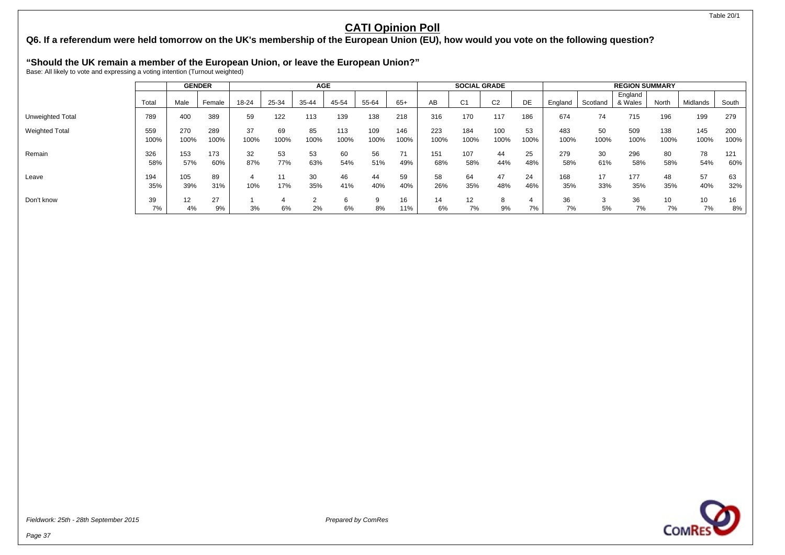## **Q6. If a referendum were held tomorrow on the UK's membership of the European Union (EU), how would you vote on the following question?**

# **"Should the UK remain a member of the European Union, or leave the European Union?"** Base: All likely to vote and expressing a voting intention (Turnout weighted)

|                         |             | <b>GENDER</b> |             |            |            | <b>AGE</b> |             |             |             |             | <b>SOCIAL GRADE</b> |                |            |             |            | <b>REGION SUMMARY</b> |             |             |             |
|-------------------------|-------------|---------------|-------------|------------|------------|------------|-------------|-------------|-------------|-------------|---------------------|----------------|------------|-------------|------------|-----------------------|-------------|-------------|-------------|
|                         | Total       | Male          | Female      | 18-24      | 25-34      | 35-44      | 45-54       | 55-64       | $65+$       | AB          | C <sub>1</sub>      | C <sub>2</sub> | DE         | England     | Scotland   | England<br>& Wales    | North       | Midlands    | South       |
| <b>Unweighted Total</b> | 789         | 400           | 389         | 59         | 122        | 113        | 139         | 138         | 218         | 316         | 170                 | 117            | 186        | 674         | 74         | 715                   | 196         | 199         | 279         |
| <b>Weighted Total</b>   | 559<br>100% | 270<br>100%   | 289<br>100% | 37<br>100% | 69<br>100% | 85<br>100% | 113<br>100% | 109<br>100% | 146<br>100% | 223<br>100% | 184<br>100%         | 100<br>100%    | 53<br>100% | 483<br>100% | 50<br>100% | 509<br>100%           | 138<br>100% | 145<br>100% | 200<br>100% |
| Remain                  | 326<br>58%  | 153<br>57%    | 173<br>60%  | 32<br>87%  | 53<br>77%  | 53<br>63%  | 60<br>54%   | 56<br>51%   | 71<br>49%   | 151<br>68%  | 107<br>58%          | 44<br>44%      | 25<br>48%  | 279<br>58%  | 30<br>61%  | 296<br>58%            | 80<br>58%   | 78<br>54%   | 121<br>60%  |
| Leave                   | 194<br>35%  | 105<br>39%    | 89<br>31%   | 10%        | 17%        | 30<br>35%  | 46<br>41%   | 44<br>40%   | 59<br>40%   | 58<br>26%   | 64<br>35%           | 47<br>48%      | 24<br>46%  | 168<br>35%  | 17<br>33%  | 177<br>35%            | 48<br>35%   | 57<br>40%   | 63<br>32%   |
| Don't know              | 39<br>7%    | 12<br>4%      | 27<br>9%    | 3%         | 6%         | ◠<br>2%    | 6<br>6%     | 8%          | 16<br>11%   | 14<br>6%    | 12<br>7%            | 8<br>9%        | 7%         | 36<br>7%    | ⌒<br>5%    | 36<br>7%              | 10<br>7%    | 10<br>7%    | 16<br>8%    |

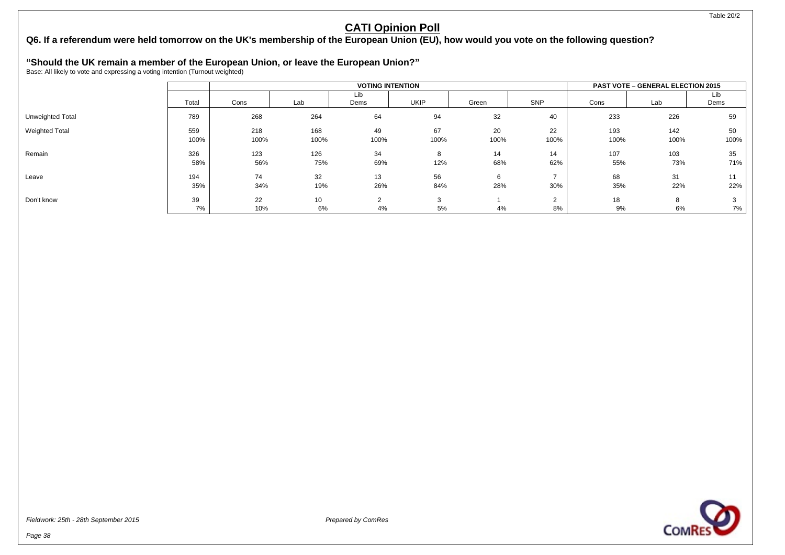## **Q6. If a referendum were held tomorrow on the UK's membership of the European Union (EU), how would you vote on the following question?**

# **"Should the UK remain a member of the European Union, or leave the European Union?"** Base: All likely to vote and expressing a voting intention (Turnout weighted)

|                       |             |             |             | <b>VOTING INTENTION</b> |              | <b>PAST VOTE - GENERAL ELECTION 2015</b> |                          |             |             |             |
|-----------------------|-------------|-------------|-------------|-------------------------|--------------|------------------------------------------|--------------------------|-------------|-------------|-------------|
|                       | Total       | Cons        | Lab         | Lib<br>Dems             | <b>UKIP</b>  | Green                                    | SNP                      | Cons        | Lab         | Lib<br>Dems |
| Unweighted Total      | 789         | 268         | 264         | 64                      | 94           | 32                                       | 40                       | 233         | 226         | 59          |
| <b>Weighted Total</b> | 559<br>100% | 218<br>100% | 168<br>100% | 49<br>100%              | 67<br>100%   | 20<br>100%                               | 22<br>100%               | 193<br>100% | 142<br>100% | 50<br>100%  |
| Remain                | 326<br>58%  | 123<br>56%  | 126<br>75%  | 34<br>69%               | 8<br>12%     | 14<br>68%                                | 14<br>62%                | 107<br>55%  | 103<br>73%  | 35<br>71%   |
| Leave                 | 194<br>35%  | 74<br>34%   | 32<br>19%   | 13<br>26%               | 56<br>84%    | 6<br>28%                                 | 30%                      | 68<br>35%   | 31<br>22%   | 22%         |
| Don't know            | 39<br>7%    | 22<br>10%   | 10<br>6%    | $\sim$<br>4%            | $\sim$<br>5% | 4%                                       | $\sim$<br><u>.</u><br>8% | 18<br>9%    | 8<br>6%     | 7%          |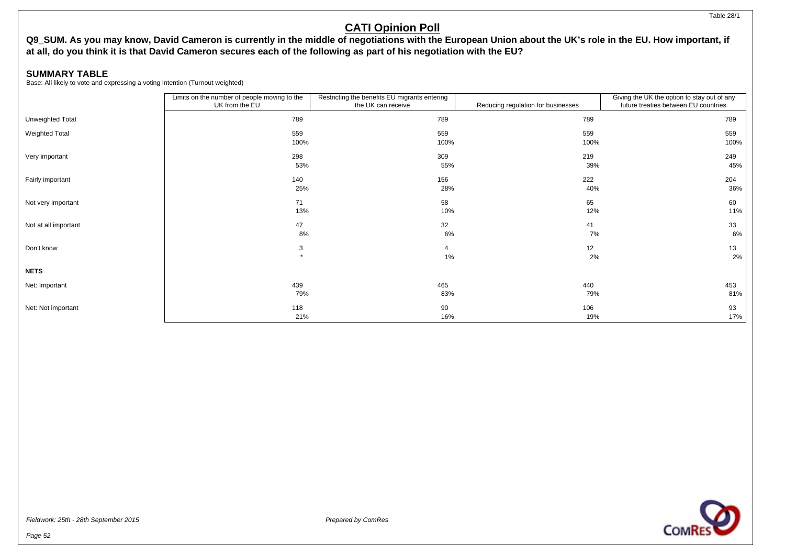#### Table 28/1

## **CATI Opinion Poll**

## **Q9\_SUM. As you may know, David Cameron is currently in the middle of negotiations with the European Union about the UK's role in the EU. How important, if at all, do you think it is that David Cameron secures each of the following as part of his negotiation with the EU?**

### **SUMMARY TABLE**

|                      | Limits on the number of people moving to the<br>UK from the EU | Restricting the benefits EU migrants entering<br>the UK can receive | Reducing regulation for businesses | Giving the UK the option to stay out of any<br>future treaties between EU countries |
|----------------------|----------------------------------------------------------------|---------------------------------------------------------------------|------------------------------------|-------------------------------------------------------------------------------------|
| Unweighted Total     | 789                                                            | 789                                                                 | 789                                | 789                                                                                 |
| Weighted Total       | 559                                                            | 559                                                                 | 559                                | 559                                                                                 |
|                      | 100%                                                           | 100%                                                                | 100%                               | 100%                                                                                |
| Very important       | 298                                                            | 309                                                                 | 219                                | 249                                                                                 |
|                      | 53%                                                            | 55%                                                                 | 39%                                | 45%                                                                                 |
| Fairly important     | 140                                                            | 156                                                                 | 222                                | 204                                                                                 |
|                      | 25%                                                            | 28%                                                                 | 40%                                | 36%                                                                                 |
| Not very important   | 71                                                             | 58                                                                  | 65                                 | 60                                                                                  |
|                      | 13%                                                            | 10%                                                                 | 12%                                | 11%                                                                                 |
| Not at all important | 47                                                             | 32                                                                  | 41                                 | 33                                                                                  |
|                      | 8%                                                             | 6%                                                                  | 7%                                 | 6%                                                                                  |
| Don't know           | 3                                                              | 4                                                                   | 12                                 | 13                                                                                  |
|                      | $\star$                                                        | 1%                                                                  | 2%                                 | 2%                                                                                  |
| <b>NETS</b>          |                                                                |                                                                     |                                    |                                                                                     |
| Net: Important       | 439                                                            | 465                                                                 | 440                                | 453                                                                                 |
|                      | 79%                                                            | 83%                                                                 | 79%                                | 81%                                                                                 |
| Net: Not important   | 118                                                            | 90                                                                  | 106                                | 93                                                                                  |
|                      | 21%                                                            | 16%                                                                 | 19%                                | 17%                                                                                 |

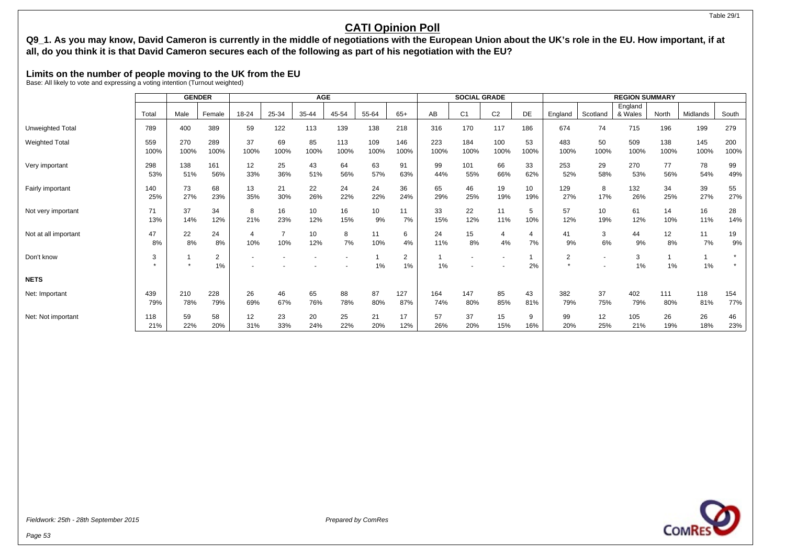### **Q9\_1. As you may know, David Cameron is currently in the middle of negotiations with the European Union about the UK's role in the EU. How important, if at all, do you think it is that David Cameron secures each of the following as part of his negotiation with the EU?**

### **Limits on the number of people moving to the UK from the EU**

Base: All likely to vote and expressing a voting intention (Turnout weighted)

|                      |             | <b>GENDER</b> |             | <b>AGE</b>            |            |            |             |             |             | <b>SOCIAL GRADE</b> |                |                |            | <b>REGION SUMMARY</b> |            |             |             |             |             |
|----------------------|-------------|---------------|-------------|-----------------------|------------|------------|-------------|-------------|-------------|---------------------|----------------|----------------|------------|-----------------------|------------|-------------|-------------|-------------|-------------|
|                      |             |               |             |                       |            |            |             |             |             |                     |                |                |            |                       |            | England     |             |             |             |
|                      | Tota        | Male          | Female      | 18-24                 | 25-34      | 35-44      | 45-54       | 55-64       | $65+$       | AB                  | C <sub>1</sub> | C <sub>2</sub> | DE         | England               | Scotland   | & Wales     | North       | Midlands    | South       |
| Unweighted Total     | 789         | 400           | 389         | 59                    | 122        | 113        | 139         | 138         | 218         | 316                 | 170            | 117            | 186        | 674                   | 74         | 715         | 196         | 199         | 279         |
| Weighted Total       | 559<br>100% | 270<br>100%   | 289<br>100% | 37<br>100%            | 69<br>100% | 85<br>100% | 113<br>100% | 109<br>100% | 146<br>100% | 223<br>100%         | 184<br>100%    | 100<br>100%    | 53<br>100% | 483<br>100%           | 50<br>100% | 509<br>100% | 138<br>100% | 145<br>100% | 200<br>100% |
| Very important       | 298<br>53%  | 138<br>51%    | 161<br>56%  | 12<br>33%             | 25<br>36%  | 43<br>51%  | 64<br>56%   | 63<br>57%   | 91<br>63%   | 99<br>44%           | 101<br>55%     | 66<br>66%      | 33<br>62%  | 253<br>52%            | 29<br>58%  | 270<br>53%  | 77<br>56%   | 78<br>54%   | 99<br>49%   |
| Fairly important     | 140<br>25%  | 73<br>27%     | 68<br>23%   | 13<br>35%             | 21<br>30%  | 22<br>26%  | 24<br>22%   | 24<br>22%   | 36<br>24%   | 65<br>29%           | 46<br>25%      | 19<br>19%      | 10<br>19%  | 129<br>27%            | 8<br>17%   | 132<br>26%  | 34<br>25%   | 39<br>27%   | 55<br>27%   |
| Not very important   | 71<br>13%   | 37<br>14%     | 34<br>12%   | 8<br>21%              | 16<br>23%  | 10<br>12%  | 16<br>15%   | 10<br>9%    | 11<br>7%    | 33<br>15%           | 22<br>12%      | 11<br>11%      | 5<br>10%   | 57<br>12%             | 10<br>19%  | 61<br>12%   | 14<br>10%   | 16<br>11%   | 28<br>14%   |
| Not at all important | 47<br>8%    | 22<br>8%      | 24<br>8%    | $\overline{4}$<br>10% | 10%        | 10<br>12%  | 8<br>7%     | 11<br>10%   | 6<br>4%     | 24<br>11%           | 15<br>8%       | 4<br>4%        | 4<br>7%    | 41<br>9%              | 3<br>6%    | 44<br>9%    | 12<br>8%    | 11<br>7%    | 19<br>9%    |
| Don't know           | 3           |               | 2<br>1%     |                       |            |            |             | 1%          | 2<br>1%     | 1%                  |                |                | 2%         | 2                     |            | 3<br>1%     | 1%          | 1%          |             |
| <b>NETS</b>          |             |               |             |                       |            |            |             |             |             |                     |                |                |            |                       |            |             |             |             |             |
| Net: Important       | 439<br>79%  | 210<br>78%    | 228<br>79%  | 26<br>69%             | 46<br>67%  | 65<br>76%  | 88<br>78%   | 87<br>80%   | 127<br>87%  | 164<br>74%          | 147<br>80%     | 85<br>85%      | 43<br>81%  | 382<br>79%            | 37<br>75%  | 402<br>79%  | 111<br>80%  | 118<br>81%  | 154<br>77%  |
| Net: Not important   | 118<br>21%  | 59<br>22%     | 58<br>20%   | 12<br>31%             | 23<br>33%  | 20<br>24%  | 25<br>22%   | 21<br>20%   | 17<br>12%   | 57<br>26%           | 37<br>20%      | 15<br>15%      | 9<br>16%   | 99<br>20%             | 12<br>25%  | 105<br>21%  | 26<br>19%   | 26<br>18%   | 46<br>23%   |



Table 29/1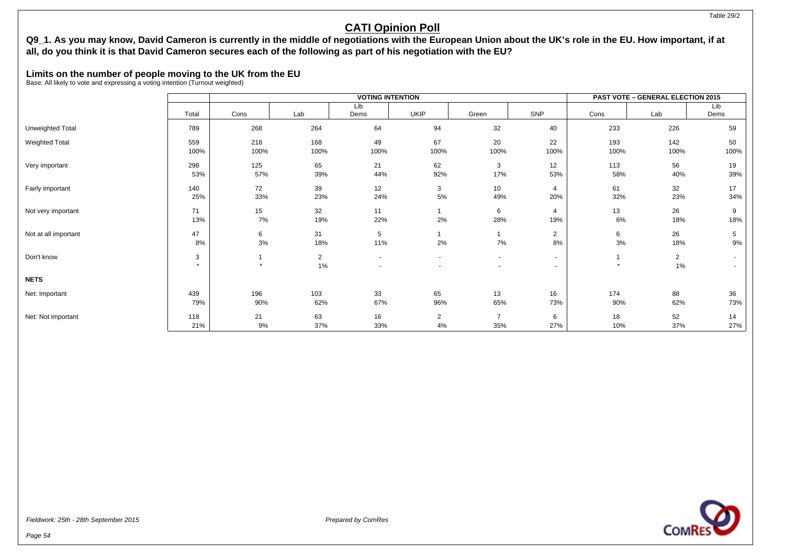### **Q9\_1. As you may know, David Cameron is currently in the middle of negotiations with the European Union about the UK's role in the EU. How important, if at all, do you think it is that David Cameron secures each of the following as part of his negotiation with the EU?**

### **Limits on the number of people moving to the UK from the EU**

Base: All likely to vote and expressing a voting intention (Turnout weighted)

|                       |                |               |                      | <b>VOTING INTENTION</b>  |                      |                        | <b>PAST VOTE - GENERAL ELECTION 2015</b> |             |                      |                  |
|-----------------------|----------------|---------------|----------------------|--------------------------|----------------------|------------------------|------------------------------------------|-------------|----------------------|------------------|
|                       |                |               |                      | Lib                      |                      |                        |                                          |             |                      | Lib              |
|                       | Total          | Cons          | Lab                  | Dems                     | <b>UKIP</b>          | Green                  | SNP                                      | Cons        | Lab                  | Dems             |
| Unweighted Total      | 789            | 268           | 264                  | 64                       | 94                   | 32                     | 40                                       | 233         | 226                  | 59               |
| <b>Weighted Total</b> | 559<br>100%    | 218<br>100%   | 168<br>100%          | 49<br>100%               | 67<br>100%           | 20<br>100%             | 22<br>100%                               | 193<br>100% | 142<br>100%          | 50<br>100%       |
| Very important        | 298<br>53%     | 125<br>57%    | 65<br>39%            | 21<br>44%                | 62<br>92%            | 3<br>17%               | 12<br>53%                                | 113<br>58%  | 56<br>40%            | 19<br>39%        |
| Fairly important      | 140<br>25%     | 72<br>33%     | 39<br>23%            | 12<br>24%                | 3<br>5%              | 10 <sup>°</sup><br>49% | 4<br>20%                                 | 61<br>32%   | 32<br>23%            | 17<br>34%        |
| Not very important    | 71<br>13%      | 15<br>7%      | 32<br>19%            | 11<br>22%                | 2%                   | 6<br>28%               | 4<br>19%                                 | 13<br>6%    | 26<br>18%            | 9<br>18%         |
| Not at all important  | 47<br>8%       | 6<br>3%       | 31<br>18%            | 5<br>11%                 | 2%                   | 7%                     | $\overline{2}$<br>8%                     | 6<br>$3\%$  | 26<br>18%            | 5<br>9%          |
| Don't know            | 3<br>$\bullet$ | -1<br>$\star$ | $\overline{2}$<br>1% | $\overline{\phantom{a}}$ | $\sim$               | $\sim$                 | $\sim$<br>$\overline{\phantom{0}}$       | $\star$     | $\overline{2}$<br>1% | $\sim$<br>$\sim$ |
| <b>NETS</b>           |                |               |                      |                          |                      |                        |                                          |             |                      |                  |
| Net: Important        | 439<br>79%     | 196<br>90%    | 103<br>62%           | 33<br>67%                | 65<br>96%            | 13<br>65%              | 16<br>73%                                | 174<br>90%  | 88<br>62%            | 36<br>73%        |
| Net: Not important    | 118<br>21%     | 21<br>9%      | 63<br>37%            | 16<br>33%                | $\overline{2}$<br>4% | $\overline{7}$<br>35%  | 6<br>27%                                 | 18<br>10%   | 52<br>37%            | 14<br>27%        |

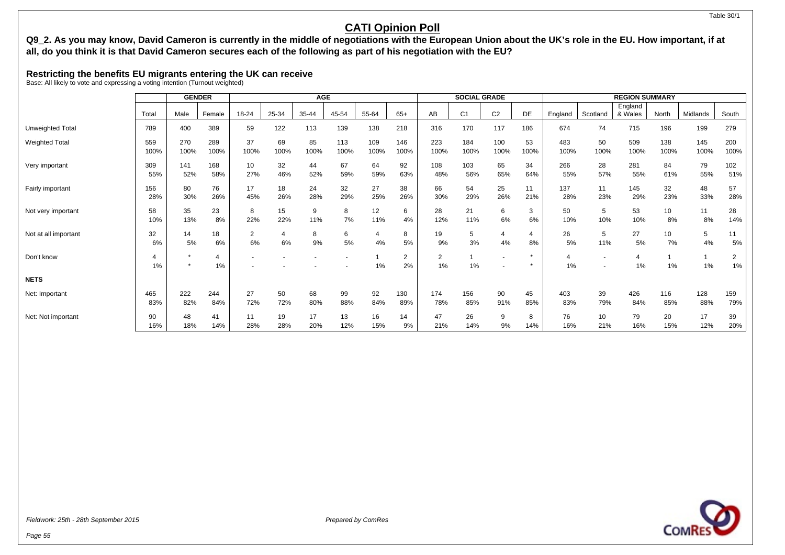#### Table 30/1

## **CATI Opinion Poll**

### **Q9\_2. As you may know, David Cameron is currently in the middle of negotiations with the European Union about the UK's role in the EU. How important, if at all, do you think it is that David Cameron secures each of the following as part of his negotiation with the EU?**

### **Restricting the benefits EU migrants entering the UK can receive**

|                       |          | <b>GENDER</b> |                      | <b>AGE</b>           |       |         |         |                      |         | <b>SOCIAL GRADE</b>  |                |                |                    | <b>REGION SUMMARY</b> |          |                    |          |          |          |
|-----------------------|----------|---------------|----------------------|----------------------|-------|---------|---------|----------------------|---------|----------------------|----------------|----------------|--------------------|-----------------------|----------|--------------------|----------|----------|----------|
|                       | Total    | Male          | Female               | 18-24                | 25-34 | 35-44   | 45-54   | 55-64                | $65+$   | AB                   | C <sub>1</sub> | C <sub>2</sub> | DE                 | England               | Scotland | England<br>& Wales | North    | Midlands | South    |
| Unweighted Total      | 789      | 400           | 389                  | 59                   | 122   | 113     | 139     | 138                  | 218     | 316                  | 170            | 117            | 186                | 674                   | 74       | 715                | 196      | 199      | 279      |
| <b>Weighted Total</b> | 559      | 270           | 289                  | 37                   | 69    | 85      | 113     | 109                  | 146     | 223                  | 184            | 100            | 53                 | 483                   | 50       | 509                | 138      | 145      | 200      |
|                       | 100%     | 100%          | 100%                 | 100%                 | 100%  | 100%    | 100%    | 100%                 | 100%    | 100%                 | 100%           | 100%           | 100%               | 100%                  | 100%     | 100%               | 100%     | 100%     | 100%     |
| Very important        | 309      | 141           | 168                  | 10                   | 32    | 44      | 67      | 64                   | 92      | 108                  | 103            | 65             | 34                 | 266                   | 28       | 281                | 84       | 79       | 102      |
|                       | 55%      | 52%           | 58%                  | 27%                  | 46%   | 52%     | 59%     | 59%                  | 63%     | 48%                  | 56%            | 65%            | 64%                | 55%                   | 57%      | 55%                | 61%      | 55%      | 51%      |
| Fairly important      | 156      | 80            | 76                   | 17                   | 18    | 24      | 32      | 27                   | 38      | 66                   | 54             | 25             | 11                 | 137                   | 11       | 145                | 32       | 48       | 57       |
|                       | 28%      | 30%           | 26%                  | 45%                  | 26%   | 28%     | 29%     | 25%                  | 26%     | 30%                  | 29%            | 26%            | 21%                | 28%                   | 23%      | 29%                | 23%      | 33%      | 28%      |
| Not very important    | 58       | 35            | 23                   | 8                    | 15    | 9       | 8       | 12                   | 6       | 28                   | 21             | 6              | 3                  | 50                    | 5        | 53                 | 10       | 11       | 28       |
|                       | 10%      | 13%           | 8%                   | 22%                  | 22%   | 11%     | 7%      | 11%                  | 4%      | 12%                  | 11%            | 6%             | 6%                 | 10%                   | 10%      | 10%                | 8%       | 8%       | 14%      |
| Not at all important  | 32<br>6% | 14<br>5%      | 18<br>6%             | $\overline{2}$<br>6% | 6%    | 8<br>9% | 6<br>5% | $\overline{4}$<br>4% | 8<br>5% | 19<br>9%             | 5<br>3%        | 4<br>4%        | 4<br>8%            | 26<br>5%              | 5<br>11% | 27<br>5%           | 10<br>7% | 5<br>4%  | 11<br>5% |
| Don't know            | 1%       | $\star$       | $\overline{4}$<br>1% |                      |       |         |         | 1%                   | 2<br>2% | $\overline{2}$<br>1% | -1<br>1%       |                | $\star$<br>$\cdot$ | 1%                    |          | 1%                 | 1%       | 1%       | 2<br>1%  |
| <b>NETS</b>           |          |               |                      |                      |       |         |         |                      |         |                      |                |                |                    |                       |          |                    |          |          |          |
| Net: Important        | 465      | 222           | 244                  | 27                   | 50    | 68      | 99      | 92                   | 130     | 174                  | 156            | 90             | 45                 | 403                   | 39       | 426                | 116      | 128      | 159      |
|                       | 83%      | 82%           | 84%                  | 72%                  | 72%   | 80%     | 88%     | 84%                  | 89%     | 78%                  | 85%            | 91%            | 85%                | 83%                   | 79%      | 84%                | 85%      | 88%      | 79%      |
| Net: Not important    | 90       | 48            | 41                   | 11                   | 19    | 17      | 13      | 16                   | 14      | 47                   | 26             | 9              | 8                  | 76                    | 10       | 79                 | 20       | 17       | 39       |
|                       | 16%      | 18%           | 14%                  | 28%                  | 28%   | 20%     | 12%     | 15%                  | 9%      | 21%                  | 14%            | 9%             | 14%                | 16%                   | 21%      | 16%                | 15%      | 12%      | 20%      |

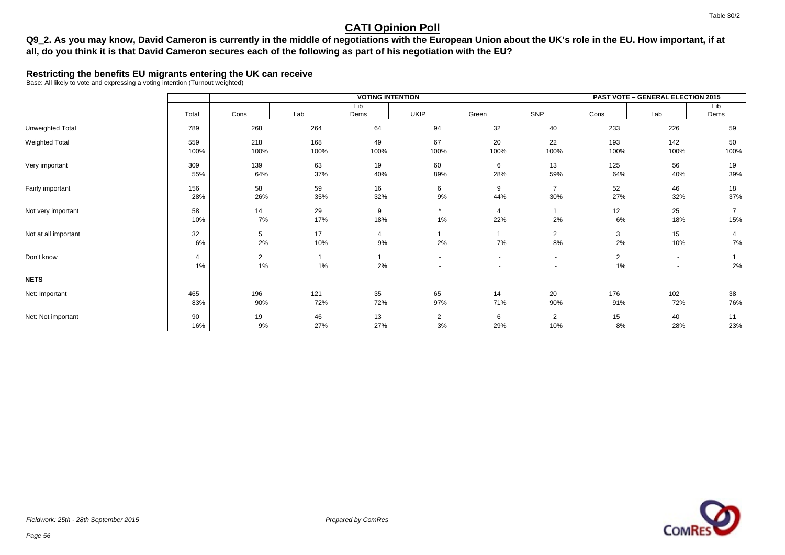### **Q9\_2. As you may know, David Cameron is currently in the middle of negotiations with the European Union about the UK's role in the EU. How important, if at all, do you think it is that David Cameron secures each of the following as part of his negotiation with the EU?**

### **Restricting the benefits EU migrants entering the UK can receive**

|                       |                      |                      |             | <b>VOTING INTENTION</b> |                      | <b>PAST VOTE - GENERAL ELECTION 2015</b> |                                    |                      |                                    |                       |  |
|-----------------------|----------------------|----------------------|-------------|-------------------------|----------------------|------------------------------------------|------------------------------------|----------------------|------------------------------------|-----------------------|--|
|                       |                      |                      |             | Lib                     |                      |                                          |                                    |                      |                                    | Lib                   |  |
|                       | Total                | Cons                 | Lab         | Dems                    | <b>UKIP</b>          | Green                                    | SNP                                | Cons                 | Lab                                | Dems                  |  |
| Unweighted Total      | 789                  | 268                  | 264         | 64                      | 94                   | 32                                       | 40                                 | 233                  | 226                                | 59                    |  |
| <b>Weighted Total</b> | 559<br>100%          | 218<br>100%          | 168<br>100% | 49<br>100%              | 67<br>100%           | 20<br>100%                               | 22<br>100%                         | 193<br>100%          | 142<br>100%                        | 50<br>100%            |  |
| Very important        | 309<br>55%           | 139<br>64%           | 63<br>37%   | 19<br>40%               | 60<br>89%            | 6<br>28%                                 | 13<br>59%                          | 125<br>64%           | 56<br>40%                          | 19<br>39%             |  |
| Fairly important      | 156<br>28%           | 58<br>26%            | 59<br>35%   | 16<br>32%               | 6<br>9%              | 9<br>44%                                 | $\overline{7}$<br>30%              | 52<br>27%            | 46<br>32%                          | 18<br>37%             |  |
| Not very important    | 58<br>10%            | 14<br>7%             | 29<br>17%   | 9<br>18%                | $\star$<br>1%        | $\overline{4}$<br>22%                    | 2%                                 | 12<br>6%             | 25<br>18%                          | $\overline{7}$<br>15% |  |
| Not at all important  | 32<br>6%             | 5<br>2%              | 17<br>10%   | 4<br>9%                 | 2%                   | 7%                                       | $\overline{2}$<br>8%               | 3<br>2%              | 15<br>10%                          | 4<br>7%               |  |
| Don't know            | $\overline{4}$<br>1% | $\overline{2}$<br>1% | 1%          | 2%                      | $\sim$               | $\sim$                                   | $\sim$<br>$\overline{\phantom{0}}$ | $\overline{2}$<br>1% | $\sim$<br>$\overline{\phantom{a}}$ | 2%                    |  |
| <b>NETS</b>           |                      |                      |             |                         |                      |                                          |                                    |                      |                                    |                       |  |
| Net: Important        | 465<br>83%           | 196<br>90%           | 121<br>72%  | 35<br>72%               | 65<br>97%            | 14<br>71%                                | 20<br>90%                          | 176<br>91%           | 102<br>72%                         | 38<br>76%             |  |
| Net: Not important    | 90<br>16%            | 19<br>9%             | 46<br>27%   | 13<br>27%               | $\overline{2}$<br>3% | 6<br>29%                                 | $\overline{2}$<br>10%              | 15<br>8%             | 40<br>28%                          | 11<br>23%             |  |

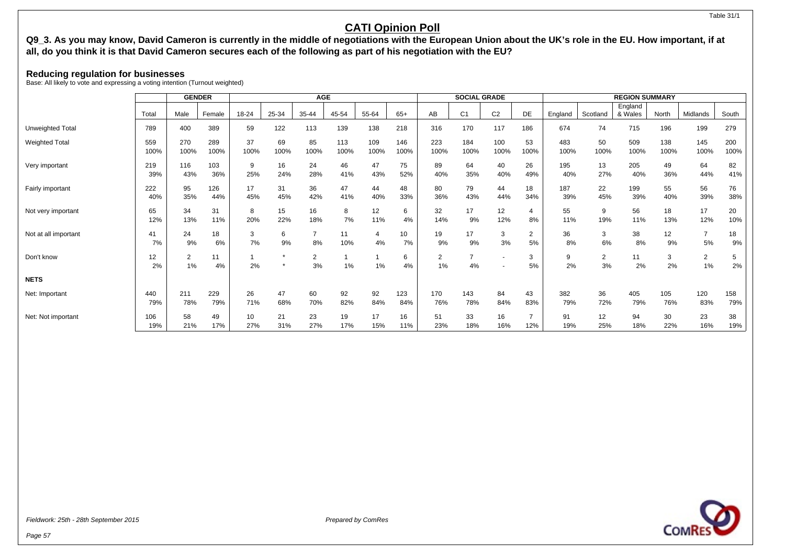## **Q9\_3. As you may know, David Cameron is currently in the middle of negotiations with the European Union about the UK's role in the EU. How important, if at all, do you think it is that David Cameron secures each of the following as part of his negotiation with the EU?**

### **Reducing regulation for businesses**

Base: All likely to vote and expressing a voting intention (Turnout weighted)

|                       |            | <b>GENDER</b>           |           | <b>AGE</b> |           |                      |           |                |           | <b>SOCIAL GRADE</b>  |                      |                |                | <b>REGION SUMMARY</b> |                      |                    |           |                      |           |
|-----------------------|------------|-------------------------|-----------|------------|-----------|----------------------|-----------|----------------|-----------|----------------------|----------------------|----------------|----------------|-----------------------|----------------------|--------------------|-----------|----------------------|-----------|
|                       | Total      | Male                    | Female    | 18-24      | 25-34     | 35-44                | 45-54     | 55-64          | $65+$     | AB                   | C <sub>1</sub>       | C <sub>2</sub> | DE             | England               | Scotland             | England<br>& Wales | North     | Midlands             | South     |
| Unweighted Total      | 789        | 400                     | 389       | 59         | 122       | 113                  | 139       | 138            | 218       | 316                  | 170                  | 117            | 186            | 674                   | 74                   | 715                | 196       | 199                  | 279       |
| <b>Weighted Total</b> | 559        | 270                     | 289       | 37         | 69        | 85                   | 113       | 109            | 146       | 223                  | 184                  | 100            | 53             | 483                   | 50                   | 509                | 138       | 145                  | 200       |
|                       | 100%       | 100%                    | 100%      | 100%       | 100%      | 100%                 | 100%      | 100%           | 100%      | 100%                 | 100%                 | 100%           | 100%           | 100%                  | 100%                 | 100%               | 100%      | 100%                 | 100%      |
| Very important        | 219        | 116                     | 103       | 9          | 16        | 24                   | 46        | 47             | 75        | 89                   | 64                   | 40             | 26             | 195                   | 13                   | 205                | 49        | 64                   | 82        |
|                       | 39%        | 43%                     | 36%       | 25%        | 24%       | 28%                  | 41%       | 43%            | 52%       | 40%                  | 35%                  | 40%            | 49%            | 40%                   | 27%                  | 40%                | 36%       | 44%                  | 41%       |
| Fairly important      | 222        | 95                      | 126       | 17         | 31        | 36                   | 47        | 44             | 48        | 80                   | 79                   | 44             | 18             | 187                   | 22                   | 199                | 55        | 56                   | 76        |
|                       | 40%        | 35%                     | 44%       | 45%        | 45%       | 42%                  | 41%       | 40%            | 33%       | 36%                  | 43%                  | 44%            | 34%            | 39%                   | 45%                  | 39%                | 40%       | 39%                  | 38%       |
| Not very important    | 65         | 34                      | 31        | 8          | 15        | 16                   | 8         | 12             | 6         | 32                   | 17                   | 12             | 4              | 55                    | 9                    | 56                 | 18        | 17                   | 20        |
|                       | 12%        | 13%                     | 11%       | 20%        | 22%       | 18%                  | 7%        | 11%            | 4%        | 14%                  | 9%                   | 12%            | 8%             | 11%                   | 19%                  | 11%                | 13%       | 12%                  | 10%       |
| Not at all important  | 41         | 24                      | 18        | 3          | 6         | $\overline{7}$       | 11        | $\overline{4}$ | 10        | 19                   | 17                   | 3              | $\overline{2}$ | 36                    | 3                    | 38                 | 12        | $\overline{7}$       | 18        |
|                       | 7%         | 9%                      | 6%        | 7%         | 9%        | 8%                   | 10%       | 4%             | 7%        | 9%                   | 9%                   | 3%             | 5%             | 8%                    | 6%                   | 8%                 | 9%        | 5%                   | 9%        |
| Don't know            | 12<br>2%   | $\overline{2}$<br>$1\%$ | 11<br>4%  | 2%         | $\star$   | $\overline{2}$<br>3% | $1\%$     | 1%             | 6<br>4%   | $\overline{2}$<br>1% | $\overline{7}$<br>4% |                | 3<br>5%        | 9<br>2%               | $\overline{2}$<br>3% | 11<br>2%           | 3<br>2%   | $\overline{2}$<br>1% | 5<br>2%   |
| <b>NETS</b>           |            |                         |           |            |           |                      |           |                |           |                      |                      |                |                |                       |                      |                    |           |                      |           |
| Net: Important        | 440        | 211                     | 229       | 26         | 47        | 60                   | 92        | 92             | 123       | 170                  | 143                  | 84             | 43             | 382                   | 36                   | 405                | 105       | 120                  | 158       |
|                       | 79%        | 78%                     | 79%       | 71%        | 68%       | 70%                  | 82%       | 84%            | 84%       | 76%                  | 78%                  | 84%            | 83%            | 79%                   | 72%                  | 79%                | 76%       | 83%                  | 79%       |
| Net: Not important    | 106<br>19% | 58<br>21%               | 49<br>17% | 10<br>27%  | 21<br>31% | 23<br>27%            | 19<br>17% | 17<br>15%      | 16<br>11% | 51<br>23%            | 33<br>18%            | 16<br>16%      | 12%            | 91<br>19%             | 12<br>25%            | 94<br>18%          | 30<br>22% | 23<br>16%            | 38<br>19% |

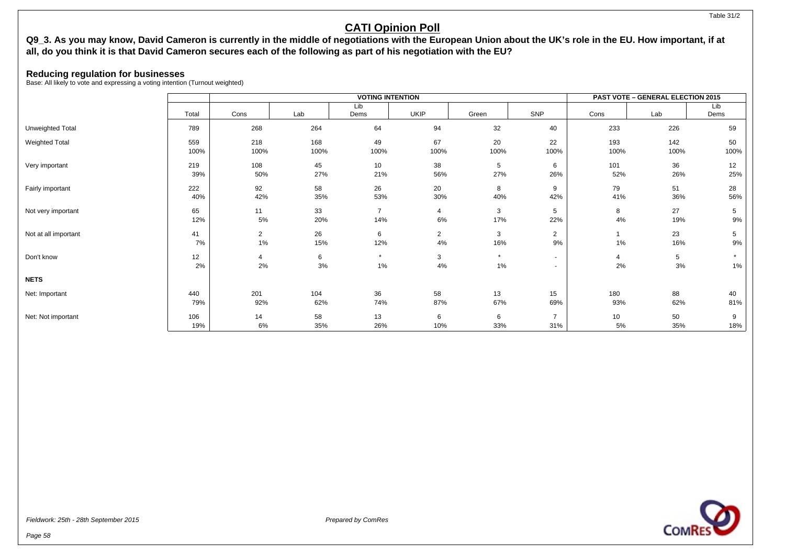#### Table 31/2

## **CATI Opinion Poll**

### **Q9\_3. As you may know, David Cameron is currently in the middle of negotiations with the European Union about the UK's role in the EU. How important, if at all, do you think it is that David Cameron secures each of the following as part of his negotiation with the EU?**

### **Reducing regulation for businesses**

|                       |             |                      |             | <b>VOTING INTENTION</b> |                      |               | <b>PAST VOTE - GENERAL ELECTION 2015</b> |                       |             |                       |
|-----------------------|-------------|----------------------|-------------|-------------------------|----------------------|---------------|------------------------------------------|-----------------------|-------------|-----------------------|
|                       |             |                      |             | Lib                     |                      |               |                                          |                       |             | Lib                   |
|                       | Total       | Cons                 | Lab         | Dems                    | <b>UKIP</b>          | Green         | SNP                                      | Cons                  | Lab         | Dems                  |
| Unweighted Total      | 789         | 268                  | 264         | 64                      | 94                   | 32            | 40                                       | 233                   | 226         | 59                    |
| <b>Weighted Total</b> | 559<br>100% | 218<br>100%          | 168<br>100% | 49<br>100%              | 67<br>100%           | 20<br>100%    | 22<br>100%                               | 193<br>100%           | 142<br>100% | 50<br>100%            |
| Very important        | 219<br>39%  | 108<br>50%           | 45<br>27%   | 10<br>21%               | 38<br>56%            | 5<br>27%      | 6<br>26%                                 | 101<br>52%            | 36<br>26%   | 12<br>25%             |
| Fairly important      | 222<br>40%  | 92<br>42%            | 58<br>35%   | 26<br>53%               | 20<br>30%            | 8<br>40%      | 9<br>42%                                 | 79<br>41%             | 51<br>36%   | 28<br>56%             |
| Not very important    | 65<br>12%   | 11<br>5%             | 33<br>20%   | $\overline{7}$<br>14%   | 4<br>6%              | 3<br>17%      | 5<br>22%                                 | 8<br>4%               | 27<br>19%   | 5<br>9%               |
| Not at all important  | 41<br>7%    | $\overline{2}$<br>1% | 26<br>15%   | 6<br>12%                | $\overline{2}$<br>4% | 3<br>16%      | $\overline{2}$<br>9%                     | 1%                    | 23<br>16%   | $5\phantom{.0}$<br>9% |
| Don't know            | 12<br>2%    | 4<br>2%              | 6<br>3%     | $\star$<br>1%           | 3<br>4%              | $\star$<br>1% | $\sim$                                   | 2%                    | 5<br>3%     | $\star$<br>1%         |
| <b>NETS</b>           |             |                      |             |                         |                      |               |                                          |                       |             |                       |
| Net: Important        | 440<br>79%  | 201<br>92%           | 104<br>62%  | 36<br>74%               | 58<br>87%            | 13<br>67%     | 15<br>69%                                | 180<br>93%            | 88<br>62%   | 40<br>81%             |
| Net: Not important    | 106<br>19%  | 14<br>6%             | 58<br>35%   | 13<br>26%               | 6<br>10%             | 6<br>33%      | $\overline{ }$<br>31%                    | 10 <sup>1</sup><br>5% | 50<br>35%   | 9<br>18%              |

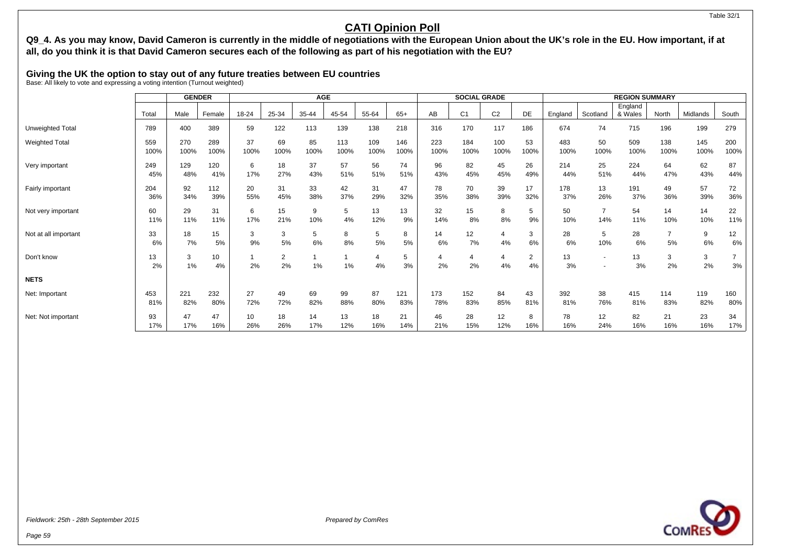## **Q9\_4. As you may know, David Cameron is currently in the middle of negotiations with the European Union about the UK's role in the EU. How important, if at all, do you think it is that David Cameron secures each of the following as part of his negotiation with the EU?**

### **Giving the UK the option to stay out of any future treaties between EU countries**

Base: All likely to vote and expressing a voting intention (Turnout weighted)

|                       |             | <b>GENDER</b> |             | <b>AGE</b> |            |            |             |                      | <b>SOCIAL GRADE</b> |             |                      |                | <b>REGION SUMMARY</b> |             |            |                    |             |             |             |
|-----------------------|-------------|---------------|-------------|------------|------------|------------|-------------|----------------------|---------------------|-------------|----------------------|----------------|-----------------------|-------------|------------|--------------------|-------------|-------------|-------------|
|                       | Total       | Male          | Female      | 18-24      | 25-34      | 35-44      | 45-54       | 55-64                | $65+$               | AB          | C <sub>1</sub>       | C <sub>2</sub> | DE                    | England     | Scotland   | England<br>& Wales | North       | Midlands    | South       |
| Unweighted Total      | 789         | 400           | 389         | 59         | 122        | 113        | 139         | 138                  | 218                 | 316         | 170                  | 117            | 186                   | 674         | 74         | 715                | 196         | 199         | 279         |
| <b>Weighted Total</b> | 559<br>100% | 270<br>100%   | 289<br>100% | 37<br>100% | 69<br>100% | 85<br>100% | 113<br>100% | 109<br>100%          | 146<br>100%         | 223<br>100% | 184<br>100%          | 100<br>100%    | 53<br>100%            | 483<br>100% | 50<br>100% | 509<br>100%        | 138<br>100% | 145<br>100% | 200<br>100% |
| Very important        | 249<br>45%  | 129<br>48%    | 120<br>41%  | 6<br>17%   | 18<br>27%  | 37<br>43%  | 57<br>51%   | 56<br>51%            | 74<br>51%           | 96<br>43%   | 82<br>45%            | 45<br>45%      | 26<br>49%             | 214<br>44%  | 25<br>51%  | 224<br>44%         | 64<br>47%   | 62<br>43%   | 87<br>44%   |
| Fairly important      | 204<br>36%  | 92<br>34%     | 112<br>39%  | 20<br>55%  | 31<br>45%  | 33<br>38%  | 42<br>37%   | 31<br>29%            | 47<br>32%           | 78<br>35%   | 70<br>38%            | 39<br>39%      | 17<br>32%             | 178<br>37%  | 13<br>26%  | 191<br>37%         | 49<br>36%   | 57<br>39%   | 72<br>36%   |
| Not very important    | 60<br>11%   | 29<br>11%     | 31<br>11%   | 6<br>17%   | 15<br>21%  | 9<br>10%   | 5<br>4%     | 13<br>12%            | 13<br>9%            | 32<br>14%   | 15<br>8%             | 8<br>8%        | 5<br>9%               | 50<br>10%   | 14%        | 54<br>11%          | 14<br>10%   | 14<br>10%   | 22<br>11%   |
| Not at all important  | 33<br>6%    | 18<br>7%      | 15<br>5%    | 3<br>9%    | 3<br>5%    | 5<br>6%    | 8<br>8%     | 5<br>5%              | 8<br>5%             | 14<br>6%    | 12<br>7%             | Δ<br>4%        | 3<br>6%               | 28<br>6%    | 5<br>10%   | 28<br>6%           | 5%          | 9<br>6%     | 12<br>6%    |
| Don't know            | 13<br>2%    | 3<br>$1\%$    | 10<br>4%    | 2%         | 2<br>2%    | $1\%$      | $1\%$       | $\overline{4}$<br>4% | 5<br>3%             | 2%          | $\overline{4}$<br>2% | 4<br>4%        | 2<br>4%               | 13<br>3%    |            | 13<br>3%           | 3<br>2%     | 3<br>2%     | 3%          |
| <b>NETS</b>           |             |               |             |            |            |            |             |                      |                     |             |                      |                |                       |             |            |                    |             |             |             |
| Net: Important        | 453<br>81%  | 221<br>82%    | 232<br>80%  | 27<br>72%  | 49<br>72%  | 69<br>82%  | 99<br>88%   | 87<br>80%            | 121<br>83%          | 173<br>78%  | 152<br>83%           | 84<br>85%      | 43<br>81%             | 392<br>81%  | 38<br>76%  | 415<br>81%         | 114<br>83%  | 119<br>82%  | 160<br>80%  |
| Net: Not important    | 93<br>17%   | 47<br>17%     | 47<br>16%   | 10<br>26%  | 18<br>26%  | 14<br>17%  | 13<br>12%   | 18<br>16%            | 21<br>14%           | 46<br>21%   | 28<br>15%            | 12<br>12%      | 8<br>16%              | 78<br>16%   | 12<br>24%  | 82<br>16%          | 21<br>16%   | 23<br>16%   | 34<br>17%   |



Table 32/1